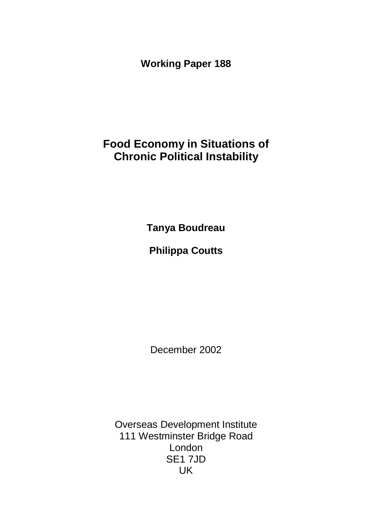**Working Paper 188**

# **Food Economy in Situations of Chronic Political Instability**

**Tanya Boudreau**

# **Philippa Coutts**

December 2002

Overseas Development Institute 111 Westminster Bridge Road London SE1 7JD UK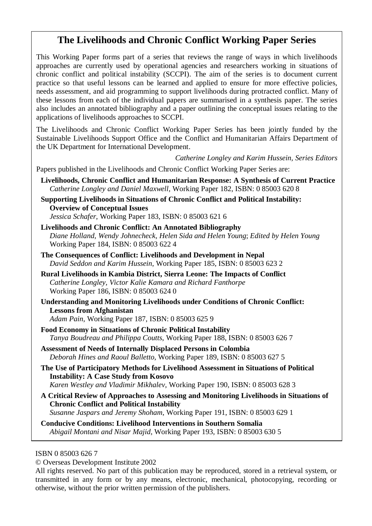## **The Livelihoods and Chronic Conflict Working Paper Series**

This Working Paper forms part of a series that reviews the range of ways in which livelihoods approaches are currently used by operational agencies and researchers working in situations of chronic conflict and political instability (SCCPI). The aim of the series is to document current practice so that useful lessons can be learned and applied to ensure for more effective policies, needs assessment, and aid programming to support livelihoods during protracted conflict. Many of these lessons from each of the individual papers are summarised in a synthesis paper. The series also includes an annotated bibliography and a paper outlining the conceptual issues relating to the applications of livelihoods approaches to SCCPI.

The Livelihoods and Chronic Conflict Working Paper Series has been jointly funded by the Sustainable Livelihoods Support Office and the Conflict and Humanitarian Affairs Department of the UK Department for International Development.

*Catherine Longley and Karim Hussein, Series Editors*

Papers published in the Livelihoods and Chronic Conflict Working Paper Series are:

- **Livelihoods, Chronic Conflict and Humanitarian Response: A Synthesis of Current Practice** *Catherine Longley and Daniel Maxwell*, Working Paper 182, ISBN: 0 85003 620 8
- **Supporting Livelihoods in Situations of Chronic Conflict and Political Instability: Overview of Conceptual Issues** *Jessica Schafer*, Working Paper 183, ISBN: 0 85003 621 6

**Livelihoods and Chronic Conflict: An Annotated Bibliography**  *Diane Holland, Wendy Johnecheck, Helen Sida and Helen Young*; *Edited by Helen Young* Working Paper 184, ISBN: 0 85003 622 4

- **The Consequences of Conflict: Livelihoods and Development in Nepal**  *David Seddon and Karim Hussein*, Working Paper 185, ISBN: 0 85003 623 2
- **Rural Livelihoods in Kambia District, Sierra Leone: The Impacts of Conflict**  *Catherine Longley, Victor Kalie Kamara and Richard Fanthorpe* Working Paper 186, ISBN: 0 85003 624 0
- **Understanding and Monitoring Livelihoods under Conditions of Chronic Conflict: Lessons from Afghanistan**

*Adam Pain*, Working Paper 187, ISBN: 0 85003 625 9

- **Food Economy in Situations of Chronic Political Instability**  *Tanya Boudreau and Philippa Coutts*, Working Paper 188, ISBN: 0 85003 626 7
- **Assessment of Needs of Internally Displaced Persons in Colombia** *Deborah Hines and Raoul Balletto*, Working Paper 189, ISBN: 0 85003 627 5
- **The Use of Participatory Methods for Livelihood Assessment in Situations of Political Instability: A Case Study from Kosovo** *Karen Westley and Vladimir Mikhalev*, Working Paper 190, ISBN: 0 85003 628 3
- **A Critical Review of Approaches to Assessing and Monitoring Livelihoods in Situations of Chronic Conflict and Political Instability** *Susanne Jaspars and Jeremy Shoham*, Working Paper 191, ISBN: 0 85003 629 1

**Conducive Conditions: Livelihood Interventions in Southern Somalia**  *Abigail Montani and Nisar Majid*, Working Paper 193, ISBN: 0 85003 630 5

ISBN 0 85003 626 7

© Overseas Development Institute 2002

All rights reserved. No part of this publication may be reproduced, stored in a retrieval system, or transmitted in any form or by any means, electronic, mechanical, photocopying, recording or otherwise, without the prior written permission of the publishers.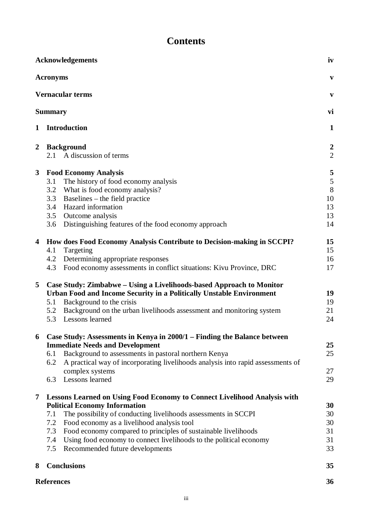| <b>Contents</b> |
|-----------------|
|-----------------|

| iv<br><b>Acknowledgements</b>                   |                                                                                                                                                                                                                                                                                                                                                                                                                                                        |                                     |  |  |
|-------------------------------------------------|--------------------------------------------------------------------------------------------------------------------------------------------------------------------------------------------------------------------------------------------------------------------------------------------------------------------------------------------------------------------------------------------------------------------------------------------------------|-------------------------------------|--|--|
| <b>Acronyms</b>                                 |                                                                                                                                                                                                                                                                                                                                                                                                                                                        |                                     |  |  |
| <b>Vernacular terms</b><br>vi<br><b>Summary</b> |                                                                                                                                                                                                                                                                                                                                                                                                                                                        |                                     |  |  |
|                                                 |                                                                                                                                                                                                                                                                                                                                                                                                                                                        |                                     |  |  |
| $\mathbf{2}$                                    | <b>Background</b><br>A discussion of terms<br>2.1                                                                                                                                                                                                                                                                                                                                                                                                      | $\overline{2}$<br>$\overline{c}$    |  |  |
| $\mathbf{3}$                                    | <b>Food Economy Analysis</b><br>The history of food economy analysis<br>3.1<br>3.2<br>What is food economy analysis?<br>Baselines – the field practice<br>3.3<br>Hazard information<br>3.4<br>3.5<br>Outcome analysis<br>3.6<br>Distinguishing features of the food economy approach                                                                                                                                                                   | 5<br>5<br>8<br>10<br>13<br>13<br>14 |  |  |
| $\overline{\mathbf{4}}$                         | How does Food Economy Analysis Contribute to Decision-making in SCCPI?<br>4.1<br>Targeting<br>Determining appropriate responses<br>4.2<br>Food economy assessments in conflict situations: Kivu Province, DRC<br>4.3                                                                                                                                                                                                                                   | 15<br>15<br>16<br>17                |  |  |
| 5                                               | Case Study: Zimbabwe – Using a Livelihoods-based Approach to Monitor<br>Urban Food and Income Security in a Politically Unstable Environment<br>Background to the crisis<br>5.1<br>Background on the urban livelihoods assessment and monitoring system<br>5.2<br>Lessons learned<br>5.3                                                                                                                                                               | 19<br>19<br>21<br>24                |  |  |
| 6                                               | Case Study: Assessments in Kenya in 2000/1 – Finding the Balance between<br><b>Immediate Needs and Development</b><br>Background to assessments in pastoral northern Kenya<br>6.1<br>A practical way of incorporating livelihoods analysis into rapid assessments of<br>6.2<br>complex systems<br>Lessons learned<br>6.3                                                                                                                               | 25<br>25<br>27<br>29                |  |  |
| 7                                               | <b>Lessons Learned on Using Food Economy to Connect Livelihood Analysis with</b><br><b>Political Economy Information</b><br>The possibility of conducting livelihoods assessments in SCCPI<br>7.1<br>Food economy as a livelihood analysis tool<br>7.2<br>Food economy compared to principles of sustainable livelihoods<br>7.3<br>Using food economy to connect livelihoods to the political economy<br>7.4<br>Recommended future developments<br>7.5 | 30<br>30<br>30<br>31<br>31<br>33    |  |  |
| 8                                               | <b>Conclusions</b>                                                                                                                                                                                                                                                                                                                                                                                                                                     | 35                                  |  |  |
|                                                 | <b>References</b>                                                                                                                                                                                                                                                                                                                                                                                                                                      | 36                                  |  |  |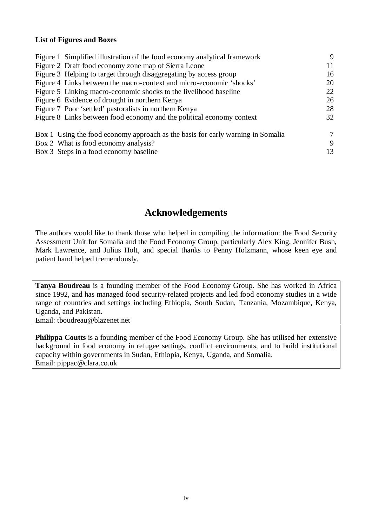#### **List of Figures and Boxes**

| Figure 1 Simplified illustration of the food economy analytical framework       | 9  |  |
|---------------------------------------------------------------------------------|----|--|
| Figure 2 Draft food economy zone map of Sierra Leone                            | 11 |  |
| Figure 3 Helping to target through disaggregating by access group               | 16 |  |
| Figure 4 Links between the macro-context and micro-economic 'shocks'            | 20 |  |
| Figure 5 Linking macro-economic shocks to the livelihood baseline               | 22 |  |
| Figure 6 Evidence of drought in northern Kenya                                  | 26 |  |
| Figure 7 Poor 'settled' pastoralists in northern Kenya                          | 28 |  |
| Figure 8 Links between food economy and the political economy context           |    |  |
| Box 1 Using the food economy approach as the basis for early warning in Somalia | 7  |  |
| Box 2 What is food economy analysis?                                            | 9  |  |
| Box 3 Steps in a food economy baseline                                          | 13 |  |

## **Acknowledgements**

The authors would like to thank those who helped in compiling the information: the Food Security Assessment Unit for Somalia and the Food Economy Group, particularly Alex King, Jennifer Bush, Mark Lawrence, and Julius Holt, and special thanks to Penny Holzmann, whose keen eye and patient hand helped tremendously.

**Tanya Boudreau** is a founding member of the Food Economy Group. She has worked in Africa since 1992, and has managed food security-related projects and led food economy studies in a wide range of countries and settings including Ethiopia, South Sudan, Tanzania, Mozambique, Kenya, Uganda, and Pakistan.

Email: tboudreau@blazenet.net

**Philippa Coutts** is a founding member of the Food Economy Group. She has utilised her extensive background in food economy in refugee settings, conflict environments, and to build institutional capacity within governments in Sudan, Ethiopia, Kenya, Uganda, and Somalia. Email: pippac@clara.co.uk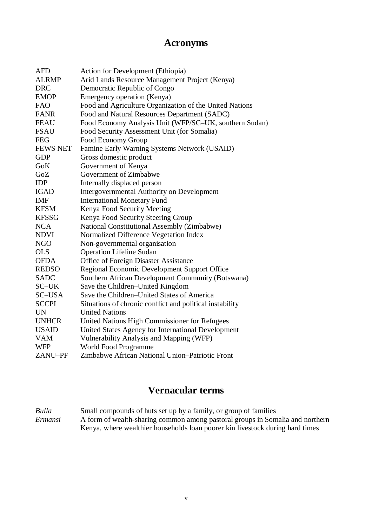## **Acronyms**

| <b>AFD</b>      | <b>Action for Development (Ethiopia)</b>                 |
|-----------------|----------------------------------------------------------|
| <b>ALRMP</b>    | Arid Lands Resource Management Project (Kenya)           |
| <b>DRC</b>      | Democratic Republic of Congo                             |
| <b>EMOP</b>     | Emergency operation (Kenya)                              |
| <b>FAO</b>      | Food and Agriculture Organization of the United Nations  |
| <b>FANR</b>     | Food and Natural Resources Department (SADC)             |
| <b>FEAU</b>     | Food Economy Analysis Unit (WFP/SC-UK, southern Sudan)   |
| <b>FSAU</b>     | Food Security Assessment Unit (for Somalia)              |
| <b>FEG</b>      | Food Economy Group                                       |
| <b>FEWS NET</b> | Famine Early Warning Systems Network (USAID)             |
| <b>GDP</b>      | Gross domestic product                                   |
| GoK             | Government of Kenya                                      |
| GoZ             | Government of Zimbabwe                                   |
| <b>IDP</b>      | Internally displaced person                              |
| <b>IGAD</b>     | <b>Intergovernmental Authority on Development</b>        |
| <b>IMF</b>      | <b>International Monetary Fund</b>                       |
| <b>KFSM</b>     | Kenya Food Security Meeting                              |
| <b>KFSSG</b>    | Kenya Food Security Steering Group                       |
| <b>NCA</b>      | National Constitutional Assembly (Zimbabwe)              |
| <b>NDVI</b>     | Normalized Difference Vegetation Index                   |
| <b>NGO</b>      | Non-governmental organisation                            |
| <b>OLS</b>      | <b>Operation Lifeline Sudan</b>                          |
| <b>OFDA</b>     | <b>Office of Foreign Disaster Assistance</b>             |
| <b>REDSO</b>    | Regional Economic Development Support Office             |
| <b>SADC</b>     | Southern African Development Community (Botswana)        |
| SC-UK           | Save the Children-United Kingdom                         |
| SC-USA          | Save the Children-United States of America               |
| <b>SCCPI</b>    | Situations of chronic conflict and political instability |
| <b>UN</b>       | <b>United Nations</b>                                    |
| <b>UNHCR</b>    | United Nations High Commissioner for Refugees            |
| <b>USAID</b>    | United States Agency for International Development       |
| <b>VAM</b>      | Vulnerability Analysis and Mapping (WFP)                 |
| <b>WFP</b>      | World Food Programme                                     |
| ZANU-PF         | Zimbabwe African National Union-Patriotic Front          |

# **Vernacular terms**

*Bulla* Small compounds of huts set up by a family, or group of families *Ermansi* A form of wealth-sharing common among pastoral groups in Somalia and northern Kenya, where wealthier households loan poorer kin livestock during hard times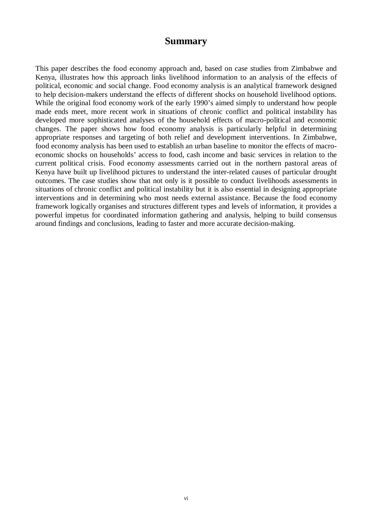### **Summary**

This paper describes the food economy approach and, based on case studies from Zimbabwe and Kenya, illustrates how this approach links livelihood information to an analysis of the effects of political, economic and social change. Food economy analysis is an analytical framework designed to help decision-makers understand the effects of different shocks on household livelihood options. While the original food economy work of the early 1990's aimed simply to understand how people made ends meet, more recent work in situations of chronic conflict and political instability has developed more sophisticated analyses of the household effects of macro-political and economic changes. The paper shows how food economy analysis is particularly helpful in determining appropriate responses and targeting of both relief and development interventions. In Zimbabwe, food economy analysis has been used to establish an urban baseline to monitor the effects of macroeconomic shocks on households' access to food, cash income and basic services in relation to the current political crisis. Food economy assessments carried out in the northern pastoral areas of Kenya have built up livelihood pictures to understand the inter-related causes of particular drought outcomes. The case studies show that not only is it possible to conduct livelihoods assessments in situations of chronic conflict and political instability but it is also essential in designing appropriate interventions and in determining who most needs external assistance. Because the food economy framework logically organises and structures different types and levels of information, it provides a powerful impetus for coordinated information gathering and analysis, helping to build consensus around findings and conclusions, leading to faster and more accurate decision-making.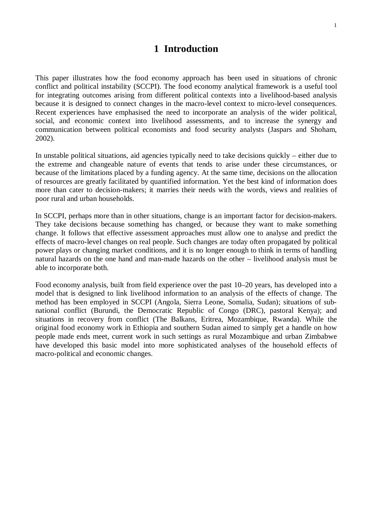## **1 Introduction**

This paper illustrates how the food economy approach has been used in situations of chronic conflict and political instability (SCCPI). The food economy analytical framework is a useful tool for integrating outcomes arising from different political contexts into a livelihood-based analysis because it is designed to connect changes in the macro-level context to micro-level consequences. Recent experiences have emphasised the need to incorporate an analysis of the wider political, social, and economic context into livelihood assessments, and to increase the synergy and communication between political economists and food security analysts (Jaspars and Shoham, 2002).

In unstable political situations, aid agencies typically need to take decisions quickly – either due to the extreme and changeable nature of events that tends to arise under these circumstances, or because of the limitations placed by a funding agency. At the same time, decisions on the allocation of resources are greatly facilitated by quantified information. Yet the best kind of information does more than cater to decision-makers; it marries their needs with the words, views and realities of poor rural and urban households.

In SCCPI, perhaps more than in other situations, change is an important factor for decision-makers. They take decisions because something has changed, or because they want to make something change. It follows that effective assessment approaches must allow one to analyse and predict the effects of macro-level changes on real people. Such changes are today often propagated by political power plays or changing market conditions, and it is no longer enough to think in terms of handling natural hazards on the one hand and man-made hazards on the other – livelihood analysis must be able to incorporate both.

Food economy analysis, built from field experience over the past 10–20 years, has developed into a model that is designed to link livelihood information to an analysis of the effects of change. The method has been employed in SCCPI (Angola, Sierra Leone, Somalia, Sudan); situations of subnational conflict (Burundi, the Democratic Republic of Congo (DRC), pastoral Kenya); and situations in recovery from conflict (The Balkans, Eritrea, Mozambique, Rwanda). While the original food economy work in Ethiopia and southern Sudan aimed to simply get a handle on how people made ends meet, current work in such settings as rural Mozambique and urban Zimbabwe have developed this basic model into more sophisticated analyses of the household effects of macro-political and economic changes.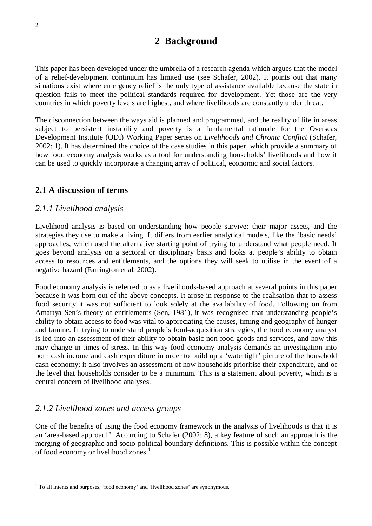## **2 Background**

This paper has been developed under the umbrella of a research agenda which argues that the model of a relief-development continuum has limited use (see Schafer, 2002). It points out that many situations exist where emergency relief is the only type of assistance available because the state in question fails to meet the political standards required for development. Yet those are the very countries in which poverty levels are highest, and where livelihoods are constantly under threat.

The disconnection between the ways aid is planned and programmed, and the reality of life in areas subject to persistent instability and poverty is a fundamental rationale for the Overseas Development Institute (ODI) Working Paper series on *Livelihoods and Chronic Conflict* (Schafer, 2002: 1). It has determined the choice of the case studies in this paper, which provide a summary of how food economy analysis works as a tool for understanding households' livelihoods and how it can be used to quickly incorporate a changing array of political, economic and social factors.

### **2.1 A discussion of terms**

### *2.1.1 Livelihood analysis*

Livelihood analysis is based on understanding how people survive: their major assets, and the strategies they use to make a living. It differs from earlier analytical models, like the 'basic needs' approaches, which used the alternative starting point of trying to understand what people need. It goes beyond analysis on a sectoral or disciplinary basis and looks at people's ability to obtain access to resources and entitlements, and the options they will seek to utilise in the event of a negative hazard (Farrington et al. 2002).

Food economy analysis is referred to as a livelihoods-based approach at several points in this paper because it was born out of the above concepts. It arose in response to the realisation that to assess food security it was not sufficient to look solely at the availability of food. Following on from Amartya Sen's theory of entitlements (Sen, 1981), it was recognised that understanding people's ability to obtain access to food was vital to appreciating the causes, timing and geography of hunger and famine. In trying to understand people's food-acquisition strategies, the food economy analyst is led into an assessment of their ability to obtain basic non-food goods and services, and how this may change in times of stress. In this way food economy analysis demands an investigation into both cash income and cash expenditure in order to build up a 'watertight' picture of the household cash economy; it also involves an assessment of how households prioritise their expenditure, and of the level that households consider to be a minimum. This is a statement about poverty, which is a central concern of livelihood analyses.

### *2.1.2 Livelihood zones and access groups*

 $\overline{a}$ 

One of the benefits of using the food economy framework in the analysis of livelihoods is that it is an 'area-based approach'. According to Schafer (2002: 8), a key feature of such an approach is the merging of geographic and socio-political boundary definitions. This is possible within the concept of food economy or livelihood zones.<sup>1</sup>

<sup>&</sup>lt;sup>1</sup> To all intents and purposes, 'food economy' and 'livelihood zones' are synonymous.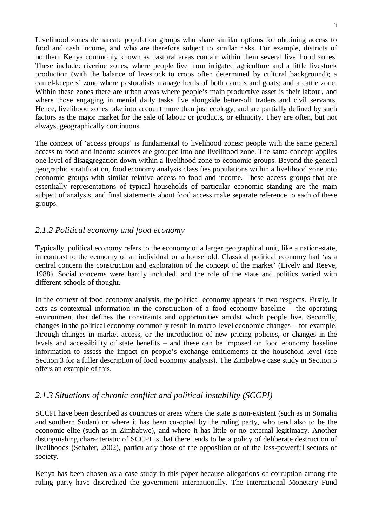Livelihood zones demarcate population groups who share similar options for obtaining access to food and cash income, and who are therefore subject to similar risks. For example, districts of northern Kenya commonly known as pastoral areas contain within them several livelihood zones. These include: riverine zones, where people live from irrigated agriculture and a little livestock production (with the balance of livestock to crops often determined by cultural background); a camel-keepers' zone where pastoralists manage herds of both camels and goats; and a cattle zone. Within these zones there are urban areas where people's main productive asset is their labour, and where those engaging in menial daily tasks live alongside better-off traders and civil servants. Hence, livelihood zones take into account more than just ecology, and are partially defined by such factors as the major market for the sale of labour or products, or ethnicity. They are often, but not always, geographically continuous.

The concept of 'access groups' is fundamental to livelihood zones: people with the same general access to food and income sources are grouped into one livelihood zone. The same concept applies one level of disaggregation down within a livelihood zone to economic groups. Beyond the general geographic stratification, food economy analysis classifies populations within a livelihood zone into economic groups with similar relative access to food and income. These access groups that are essentially representations of typical households of particular economic standing are the main subject of analysis, and final statements about food access make separate reference to each of these groups.

### *2.1.2 Political economy and food economy*

Typically, political economy refers to the economy of a larger geographical unit, like a nation-state, in contrast to the economy of an individual or a household. Classical political economy had 'as a central concern the construction and exploration of the concept of the market' (Lively and Reeve, 1988). Social concerns were hardly included, and the role of the state and politics varied with different schools of thought.

In the context of food economy analysis, the political economy appears in two respects. Firstly, it acts as contextual information in the construction of a food economy baseline – the operating environment that defines the constraints and opportunities amidst which people live. Secondly, changes in the political economy commonly result in macro-level economic changes – for example, through changes in market access, or the introduction of new pricing policies, or changes in the levels and accessibility of state benefits – and these can be imposed on food economy baseline information to assess the impact on people's exchange entitlements at the household level (see Section 3 for a fuller description of food economy analysis). The Zimbabwe case study in Section 5 offers an example of this.

#### *2.1.3 Situations of chronic conflict and political instability (SCCPI)*

SCCPI have been described as countries or areas where the state is non-existent (such as in Somalia and southern Sudan) or where it has been co-opted by the ruling party, who tend also to be the economic elite (such as in Zimbabwe), and where it has little or no external legitimacy. Another distinguishing characteristic of SCCPI is that there tends to be a policy of deliberate destruction of livelihoods (Schafer, 2002), particularly those of the opposition or of the less-powerful sectors of society.

Kenya has been chosen as a case study in this paper because allegations of corruption among the ruling party have discredited the government internationally. The International Monetary Fund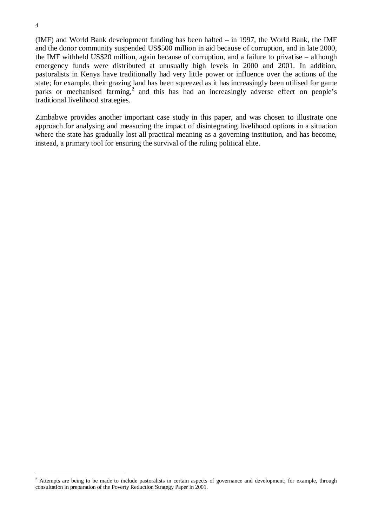(IMF) and World Bank development funding has been halted – in 1997, the World Bank, the IMF and the donor community suspended US\$500 million in aid because of corruption, and in late 2000, the IMF withheld US\$20 million, again because of corruption, and a failure to privatise – although emergency funds were distributed at unusually high levels in 2000 and 2001. In addition, pastoralists in Kenya have traditionally had very little power or influence over the actions of the state; for example, their grazing land has been squeezed as it has increasingly been utilised for game parks or mechanised farming,<sup>2</sup> and this has had an increasingly adverse effect on people's traditional livelihood strategies.

Zimbabwe provides another important case study in this paper, and was chosen to illustrate one approach for analysing and measuring the impact of disintegrating livelihood options in a situation where the state has gradually lost all practical meaning as a governing institution, and has become, instead, a primary tool for ensuring the survival of the ruling political elite.

 $\overline{a}$ 

<sup>&</sup>lt;sup>2</sup> Attempts are being to be made to include pastoralists in certain aspects of governance and development; for example, through consultation in preparation of the Poverty Reduction Strategy Paper in 2001.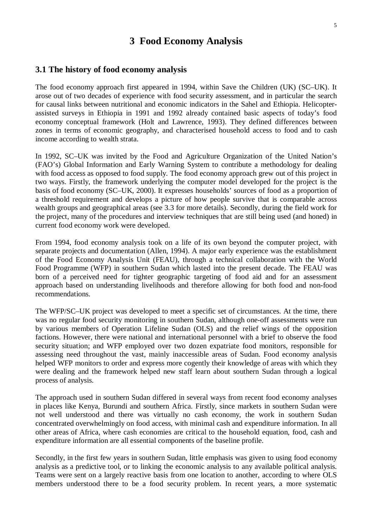## **3 Food Economy Analysis**

#### **3.1 The history of food economy analysis**

The food economy approach first appeared in 1994, within Save the Children (UK) (SC–UK). It arose out of two decades of experience with food security assessment, and in particular the search for causal links between nutritional and economic indicators in the Sahel and Ethiopia. Helicopterassisted surveys in Ethiopia in 1991 and 1992 already contained basic aspects of today's food economy conceptual framework (Holt and Lawrence, 1993). They defined differences between zones in terms of economic geography, and characterised household access to food and to cash income according to wealth strata.

In 1992, SC–UK was invited by the Food and Agriculture Organization of the United Nation's (FAO's) Global Information and Early Warning System to contribute a methodology for dealing with food access as opposed to food supply. The food economy approach grew out of this project in two ways. Firstly, the framework underlying the computer model developed for the project is the basis of food economy (SC–UK, 2000). It expresses households' sources of food as a proportion of a threshold requirement and develops a picture of how people survive that is comparable across wealth groups and geographical areas (see 3.3 for more details). Secondly, during the field work for the project, many of the procedures and interview techniques that are still being used (and honed) in current food economy work were developed.

From 1994, food economy analysis took on a life of its own beyond the computer project, with separate projects and documentation (Allen, 1994). A major early experience was the establishment of the Food Economy Analysis Unit (FEAU), through a technical collaboration with the World Food Programme (WFP) in southern Sudan which lasted into the present decade. The FEAU was born of a perceived need for tighter geographic targeting of food aid and for an assessment approach based on understanding livelihoods and therefore allowing for both food and non-food recommendations.

The WFP/SC–UK project was developed to meet a specific set of circumstances. At the time, there was no regular food security monitoring in southern Sudan, although one-off assessments were run by various members of Operation Lifeline Sudan (OLS) and the relief wings of the opposition factions. However, there were national and international personnel with a brief to observe the food security situation; and WFP employed over two dozen expatriate food monitors, responsible for assessing need throughout the vast, mainly inaccessible areas of Sudan. Food economy analysis helped WFP monitors to order and express more cogently their knowledge of areas with which they were dealing and the framework helped new staff learn about southern Sudan through a logical process of analysis.

The approach used in southern Sudan differed in several ways from recent food economy analyses in places like Kenya, Burundi and southern Africa. Firstly, since markets in southern Sudan were not well understood and there was virtually no cash economy, the work in southern Sudan concentrated overwhelmingly on food access, with minimal cash and expenditure information. In all other areas of Africa, where cash economies are critical to the household equation, food, cash and expenditure information are all essential components of the baseline profile.

Secondly, in the first few years in southern Sudan, little emphasis was given to using food economy analysis as a predictive tool, or to linking the economic analysis to any available political analysis. Teams were sent on a largely reactive basis from one location to another, according to where OLS members understood there to be a food security problem. In recent years, a more systematic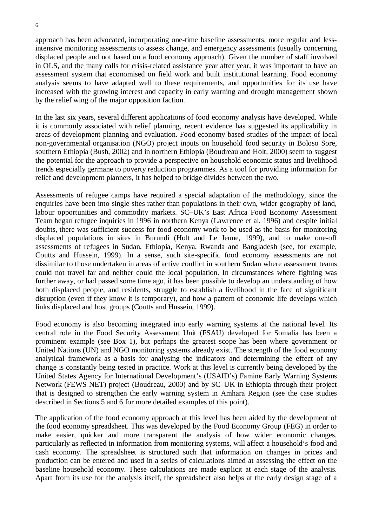6

approach has been advocated, incorporating one-time baseline assessments, more regular and lessintensive monitoring assessments to assess change, and emergency assessments (usually concerning displaced people and not based on a food economy approach). Given the number of staff involved in OLS, and the many calls for crisis-related assistance year after year, it was important to have an assessment system that economised on field work and built institutional learning. Food economy analysis seems to have adapted well to these requirements, and opportunities for its use have increased with the growing interest and capacity in early warning and drought management shown by the relief wing of the major opposition faction.

In the last six years, several different applications of food economy analysis have developed. While it is commonly associated with relief planning, recent evidence has suggested its applicability in areas of development planning and evaluation. Food economy based studies of the impact of local non-governmental organisation (NGO) project inputs on household food security in Boloso Sore, southern Ethiopia (Bush, 2002) and in northern Ethiopia (Boudreau and Holt, 2000) seem to suggest the potential for the approach to provide a perspective on household economic status and livelihood trends especially germane to poverty reduction programmes. As a tool for providing information for relief and development planners, it has helped to bridge divides between the two.

Assessments of refugee camps have required a special adaptation of the methodology, since the enquiries have been into single sites rather than populations in their own, wider geography of land, labour opportunities and commodity markets. SC–UK's East Africa Food Economy Assessment Team began refugee inquiries in 1996 in northern Kenya (Lawrence et al. 1996) and despite initial doubts, there was sufficient success for food economy work to be used as the basis for monitoring displaced populations in sites in Burundi (Holt and Le Jeune, 1999), and to make one-off assessments of refugees in Sudan, Ethiopia, Kenya, Rwanda and Bangladesh (see, for example, Coutts and Hussein, 1999). In a sense, such site-specific food economy assessments are not dissimilar to those undertaken in areas of active conflict in southern Sudan where assessment teams could not travel far and neither could the local population. In circumstances where fighting was further away, or had passed some time ago, it has been possible to develop an understanding of how both displaced people, and residents, struggle to establish a livelihood in the face of significant disruption (even if they know it is temporary), and how a pattern of economic life develops which links displaced and host groups (Coutts and Hussein, 1999).

Food economy is also becoming integrated into early warning systems at the national level. Its central role in the Food Security Assessment Unit (FSAU) developed for Somalia has been a prominent example (see Box 1), but perhaps the greatest scope has been where government or United Nations (UN) and NGO monitoring systems already exist. The strength of the food economy analytical framework as a basis for analysing the indicators and determining the effect of any change is constantly being tested in practice. Work at this level is currently being developed by the United States Agency for International Development's (USAID's) Famine Early Warning Systems Network (FEWS NET) project (Boudreau, 2000) and by SC–UK in Ethiopia through their project that is designed to strengthen the early warning system in Amhara Region (see the case studies described in Sections 5 and 6 for more detailed examples of this point).

The application of the food economy approach at this level has been aided by the development of the food economy spreadsheet. This was developed by the Food Economy Group (FEG) in order to make easier, quicker and more transparent the analysis of how wider economic changes, particularly as reflected in information from monitoring systems, will affect a household's food and cash economy. The spreadsheet is structured such that information on changes in prices and production can be entered and used in a series of calculations aimed at assessing the effect on the baseline household economy. These calculations are made explicit at each stage of the analysis. Apart from its use for the analysis itself, the spreadsheet also helps at the early design stage of a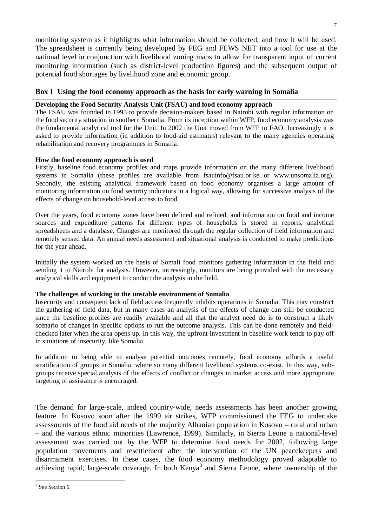monitoring system as it highlights what information should be collected, and how it will be used. The spreadsheet is currently being developed by FEG and FEWS NET into a tool for use at the national level in conjunction with livelihood zoning maps to allow for transparent input of current monitoring information (such as district-level production figures) and the subsequent output of potential food shortages by livelihood zone and economic group.

#### **Box 1 Using the food economy approach as the basis for early warning in Somalia**

#### **Developing the Food Security Analysis Unit (FSAU) and food economy approach**

The FSAU was founded in 1995 to provide decision-makers based in Nairobi with regular information on the food security situation in southern Somalia. From its inception within WFP, food economy analysis was the fundamental analytical tool for the Unit. In 2002 the Unit moved from WFP to FAO. Increasingly it is asked to provide information (in addition to food-aid estimates) relevant to the many agencies operating rehabilitation and recovery programmes in Somalia.

#### **How the food economy approach is used**

Firstly, baseline food economy profiles and maps provide information on the many different livelihood systems in Somalia (these profiles are available from fsauinfo@fsau.or.ke or www.unsomalia.org). Secondly, the existing analytical framework based on food economy organises a large amount of monitoring information on food security indicators in a logical way, allowing for successive analysis of the effects of change on household-level access to food.

Over the years, food economy zones have been defined and refined, and information on food and income sources and expenditure patterns for different types of households is stored in reports, analytical spreadsheets and a database. Changes are monitored through the regular collection of field information and remotely sensed data. An annual needs assessment and situational analysis is conducted to make predictions for the year ahead.

Initially the system worked on the basis of Somali food monitors gathering information in the field and sending it to Nairobi for analysis. However, increasingly, monitors are being provided with the necessary analytical skills and equipment to conduct the analysis in the field.

#### **The challenges of working in the unstable environment of Somalia**

Insecurity and consequent lack of field access frequently inhibits operations in Somalia. This may constrict the gathering of field data, but in many cases an analysis of the effects of change can still be conducted since the baseline profiles are readily available and all that the analyst need do is to construct a likely scenario of changes in specific options to run the outcome analysis. This can be done remotely and fieldchecked later when the area opens up. In this way, the upfront investment in baseline work tends to pay off in situations of insecurity, like Somalia.

In addition to being able to analyse potential outcomes remotely, food economy affords a useful stratification of groups in Somalia, where so many different livelihood systems co-exist. In this way, subgroups receive special analysis of the effects of conflict or changes in market access and more appropriate targeting of assistance is encouraged.

The demand for large-scale, indeed country-wide, needs assessments has been another growing feature. In Kosovo soon after the 1999 air strikes, WFP commissioned the FEG to undertake assessments of the food aid needs of the majority Albanian population in Kosovo – rural and urban – and the various ethnic minorities (Lawrence, 1999). Similarly, in Sierra Leone a national-level assessment was carried out by the WFP to determine food needs for 2002, following large population movements and resettlement after the intervention of the UN peacekeepers and disarmament exercises. In these cases, the food economy methodology proved adaptable to achieving rapid, large-scale coverage. In both Kenya<sup>3</sup> and Sierra Leone, where ownership of the

 $\overline{a}$ 

<sup>&</sup>lt;sup>3</sup> See Section 6.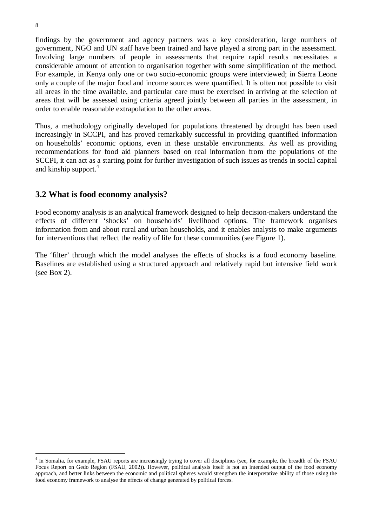findings by the government and agency partners was a key consideration, large numbers of government, NGO and UN staff have been trained and have played a strong part in the assessment. Involving large numbers of people in assessments that require rapid results necessitates a considerable amount of attention to organisation together with some simplification of the method. For example, in Kenya only one or two socio-economic groups were interviewed; in Sierra Leone only a couple of the major food and income sources were quantified. It is often not possible to visit all areas in the time available, and particular care must be exercised in arriving at the selection of areas that will be assessed using criteria agreed jointly between all parties in the assessment, in order to enable reasonable extrapolation to the other areas.

Thus, a methodology originally developed for populations threatened by drought has been used increasingly in SCCPI, and has proved remarkably successful in providing quantified information on households' economic options, even in these unstable environments. As well as providing recommendations for food aid planners based on real information from the populations of the SCCPI, it can act as a starting point for further investigation of such issues as trends in social capital and kinship support.<sup>4</sup>

### **3.2 What is food economy analysis?**

Food economy analysis is an analytical framework designed to help decision-makers understand the effects of different 'shocks' on households' livelihood options. The framework organises information from and about rural and urban households, and it enables analysts to make arguments for interventions that reflect the reality of life for these communities (see Figure 1).

The 'filter' through which the model analyses the effects of shocks is a food economy baseline. Baselines are established using a structured approach and relatively rapid but intensive field work (see Box 2).

 $\overline{a}$ <sup>4</sup> In Somalia, for example, FSAU reports are increasingly trying to cover all disciplines (see, for example, the breadth of the FSAU Focus Report on Gedo Region (FSAU, 2002)). However, political analysis itself is not an intended output of the food economy approach, and better links between the economic and political spheres would strengthen the interpretative ability of those using the food economy framework to analyse the effects of change generated by political forces.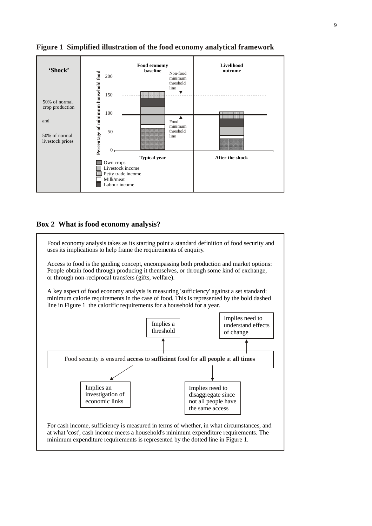

#### **Figure 1 Simplified illustration of the food economy analytical framework**

#### **Box 2 What is food economy analysis?**

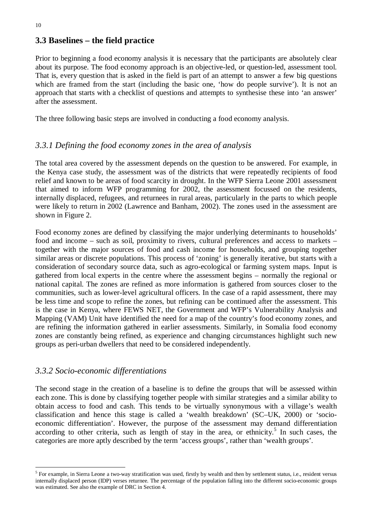## **3.3 Baselines – the field practice**

Prior to beginning a food economy analysis it is necessary that the participants are absolutely clear about its purpose. The food economy approach is an objective-led, or question-led, assessment tool. That is, every question that is asked in the field is part of an attempt to answer a few big questions which are framed from the start (including the basic one, 'how do people survive'). It is not an approach that starts with a checklist of questions and attempts to synthesise these into 'an answer' after the assessment.

The three following basic steps are involved in conducting a food economy analysis.

### *3.3.1 Defining the food economy zones in the area of analysis*

The total area covered by the assessment depends on the question to be answered. For example, in the Kenya case study, the assessment was of the districts that were repeatedly recipients of food relief and known to be areas of food scarcity in drought. In the WFP Sierra Leone 2001 assessment that aimed to inform WFP programming for 2002, the assessment focussed on the residents, internally displaced, refugees, and returnees in rural areas, particularly in the parts to which people were likely to return in 2002 (Lawrence and Banham, 2002). The zones used in the assessment are shown in Figure 2.

Food economy zones are defined by classifying the major underlying determinants to households' food and income – such as soil, proximity to rivers, cultural preferences and access to markets – together with the major sources of food and cash income for households, and grouping together similar areas or discrete populations. This process of 'zoning' is generally iterative, but starts with a consideration of secondary source data, such as agro-ecological or farming system maps. Input is gathered from local experts in the centre where the assessment begins – normally the regional or national capital. The zones are refined as more information is gathered from sources closer to the communities, such as lower-level agricultural officers. In the case of a rapid assessment, there may be less time and scope to refine the zones, but refining can be continued after the assessment. This is the case in Kenya, where FEWS NET, the Government and WFP's Vulnerability Analysis and Mapping (VAM) Unit have identified the need for a map of the country's food economy zones, and are refining the information gathered in earlier assessments. Similarly, in Somalia food economy zones are constantly being refined, as experience and changing circumstances highlight such new groups as peri-urban dwellers that need to be considered independently.

#### *3.3.2 Socio-economic differentiations*

 $\overline{a}$ 

The second stage in the creation of a baseline is to define the groups that will be assessed within each zone. This is done by classifying together people with similar strategies and a similar ability to obtain access to food and cash. This tends to be virtually synonymous with a village's wealth classification and hence this stage is called a 'wealth breakdown' (SC–UK, 2000) or 'socioeconomic differentiation'. However, the purpose of the assessment may demand differentiation according to other criteria, such as length of stay in the area, or ethnicity.<sup>5</sup> In such cases, the categories are more aptly described by the term 'access groups', rather than 'wealth groups'.

 $<sup>5</sup>$  For example, in Sierra Leone a two-way stratification was used, firstly by wealth and then by settlement status, i.e., resident versus</sup> internally displaced person (IDP) verses returnee. The percentage of the population falling into the different socio-economic groups was estimated. See also the example of DRC in Section 4.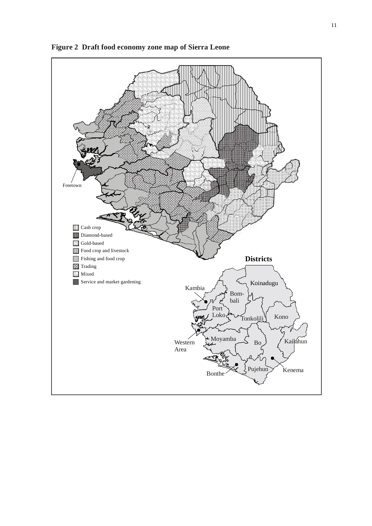

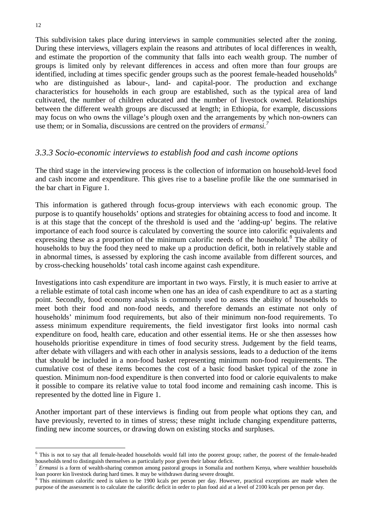This subdivision takes place during interviews in sample communities selected after the zoning. During these interviews, villagers explain the reasons and attributes of local differences in wealth, and estimate the proportion of the community that falls into each wealth group. The number of groups is limited only by relevant differences in access and often more than four groups are identified, including at times specific gender groups such as the poorest female-headed households<sup>6</sup> who are distinguished as labour-, land- and capital-poor. The production and exchange characteristics for households in each group are established, such as the typical area of land cultivated, the number of children educated and the number of livestock owned. Relationships between the different wealth groups are discussed at length; in Ethiopia, for example, discussions may focus on who owns the village's plough oxen and the arrangements by which non-owners can use them; or in Somalia, discussions are centred on the providers of *ermansi.<sup>7</sup>*

#### *3.3.3 Socio-economic interviews to establish food and cash income options*

The third stage in the interviewing process is the collection of information on household-level food and cash income and expenditure. This gives rise to a baseline profile like the one summarised in the bar chart in Figure 1.

This information is gathered through focus-group interviews with each economic group. The purpose is to quantify households' options and strategies for obtaining access to food and income. It is at this stage that the concept of the threshold is used and the 'adding-up' begins. The relative importance of each food source is calculated by converting the source into calorific equivalents and expressing these as a proportion of the minimum calorific needs of the household.<sup>8</sup> The ability of households to buy the food they need to make up a production deficit, both in relatively stable and in abnormal times, is assessed by exploring the cash income available from different sources, and by cross-checking households' total cash income against cash expenditure.

Investigations into cash expenditure are important in two ways. Firstly, it is much easier to arrive at a reliable estimate of total cash income when one has an idea of cash expenditure to act as a starting point. Secondly, food economy analysis is commonly used to assess the ability of households to meet both their food and non-food needs, and therefore demands an estimate not only of households' minimum food requirements, but also of their minimum non-food requirements. To assess minimum expenditure requirements, the field investigator first looks into normal cash expenditure on food, health care, education and other essential items. He or she then assesses how households prioritise expenditure in times of food security stress. Judgement by the field teams, after debate with villagers and with each other in analysis sessions, leads to a deduction of the items that should be included in a non-food basket representing minimum non-food requirements. The cumulative cost of these items becomes the cost of a basic food basket typical of the zone in question. Minimum non-food expenditure is then converted into food or calorie equivalents to make it possible to compare its relative value to total food income and remaining cash income. This is represented by the dotted line in Figure 1.

Another important part of these interviews is finding out from people what options they can, and have previously, reverted to in times of stress; these might include changing expenditure patterns, finding new income sources, or drawing down on existing stocks and surpluses.

 $\overline{a}$ 

<sup>&</sup>lt;sup>6</sup> This is not to say that all female-headed households would fall into the poorest group; rather, the poorest of the female-headed households tend to distinguish themselves as particularly poor given their labour deficit.

<sup>7</sup> *Ermansi* is a form of wealth-sharing common among pastoral groups in Somalia and northern Kenya, where wealthier households loan poorer kin livestock during hard times. It may be withdrawn during severe drought.

<sup>&</sup>lt;sup>8</sup> This minimum calorific need is taken to be 1900 kcals per person per day. However, practical exceptions are made when the purpose of the assessment is to calculate the calorific deficit in order to plan food aid at a level of 2100 kcals per person per day.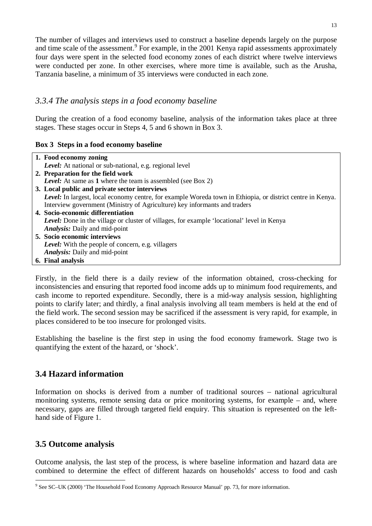The number of villages and interviews used to construct a baseline depends largely on the purpose and time scale of the assessment.<sup>9</sup> For example, in the 2001 Kenya rapid assessments approximately four days were spent in the selected food economy zones of each district where twelve interviews were conducted per zone. In other exercises, where more time is available, such as the Arusha, Tanzania baseline, a minimum of 35 interviews were conducted in each zone.

#### *3.3.4 The analysis steps in a food economy baseline*

During the creation of a food economy baseline, analysis of the information takes place at three stages. These stages occur in Steps 4, 5 and 6 shown in Box 3.

#### **Box 3 Steps in a food economy baseline**

| 1. Food economy zoning                                                                                     |
|------------------------------------------------------------------------------------------------------------|
| Level: At national or sub-national, e.g. regional level                                                    |
| 2. Preparation for the field work                                                                          |
| <b>Level:</b> At same as 1 where the team is assembled (see Box 2)                                         |
| 3. Local public and private sector interviews                                                              |
| Level: In largest, local economy centre, for example Woreda town in Ethiopia, or district centre in Kenya. |
| Interview government (Ministry of Agriculture) key informants and traders                                  |
| 4. Socio-economic differentiation                                                                          |
| <b>Level:</b> Done in the village or cluster of villages, for example 'locational' level in Kenya          |
| <b>Analysis:</b> Daily and mid-point                                                                       |
| 5. Socio economic interviews                                                                               |
| Level: With the people of concern, e.g. villagers                                                          |
| <b>Analysis:</b> Daily and mid-point                                                                       |
| 6. Final analysis                                                                                          |

Firstly, in the field there is a daily review of the information obtained, cross-checking for inconsistencies and ensuring that reported food income adds up to minimum food requirements, and cash income to reported expenditure. Secondly, there is a mid-way analysis session, highlighting points to clarify later; and thirdly, a final analysis involving all team members is held at the end of the field work. The second session may be sacrificed if the assessment is very rapid, for example, in places considered to be too insecure for prolonged visits.

Establishing the baseline is the first step in using the food economy framework. Stage two is quantifying the extent of the hazard, or 'shock'.

## **3.4 Hazard information**

Information on shocks is derived from a number of traditional sources – national agricultural monitoring systems, remote sensing data or price monitoring systems, for example – and, where necessary, gaps are filled through targeted field enquiry. This situation is represented on the lefthand side of Figure 1.

### **3.5 Outcome analysis**

 $\overline{a}$ 

Outcome analysis, the last step of the process, is where baseline information and hazard data are combined to determine the effect of different hazards on households' access to food and cash

<sup>&</sup>lt;sup>9</sup> See SC–UK (2000) 'The Household Food Economy Approach Resource Manual' pp. 73, for more information.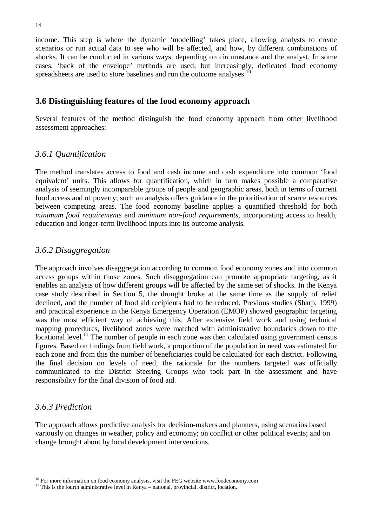income. This step is where the dynamic 'modelling' takes place, allowing analysts to create scenarios or run actual data to see who will be affected, and how, by different combinations of shocks. It can be conducted in various ways, depending on circumstance and the analyst. In some cases, 'back of the envelope' methods are used; but increasingly, dedicated food economy spreadsheets are used to store baselines and run the outcome analyses.<sup>10</sup>

#### **3.6 Distinguishing features of the food economy approach**

Several features of the method distinguish the food economy approach from other livelihood assessment approaches:

#### *3.6.1 Quantification*

The method translates access to food and cash income and cash expenditure into common 'food equivalent' units. This allows for quantification, which in turn makes possible a comparative analysis of seemingly incomparable groups of people and geographic areas, both in terms of current food access and of poverty; such an analysis offers guidance in the prioritisation of scarce resources between competing areas. The food economy baseline applies a quantified threshold for both *minimum food requirements* and *minimum non-food requirements*, incorporating access to health, education and longer-term livelihood inputs into its outcome analysis.

#### *3.6.2 Disaggregation*

The approach involves disaggregation according to common food economy zones and into common access groups within those zones. Such disaggregation can promote appropriate targeting, as it enables an analysis of how different groups will be affected by the same set of shocks. In the Kenya case study described in Section 5, the drought broke at the same time as the supply of relief declined, and the number of food aid recipients had to be reduced. Previous studies (Sharp, 1999) and practical experience in the Kenya Emergency Operation (EMOP) showed geographic targeting was the most efficient way of achieving this. After extensive field work and using technical mapping procedures, livelihood zones were matched with administrative boundaries down to the locational level.<sup>11</sup> The number of people in each zone was then calculated using government census figures. Based on findings from field work, a proportion of the population in need was estimated for each zone and from this the number of beneficiaries could be calculated for each district. Following the final decision on levels of need, the rationale for the numbers targeted was officially communicated to the District Steering Groups who took part in the assessment and have responsibility for the final division of food aid.

#### *3.6.3 Prediction*

 $\overline{a}$ 

The approach allows predictive analysis for decision-makers and planners, using scenarios based variously on changes in weather, policy and economy; on conflict or other political events; and on change brought about by local development interventions.

 $10$  For more information on food economy analysis, visit the FEG website www.foodeconomy.com

 $11$  This is the fourth administrative level in Kenya – national, provincial, district, location.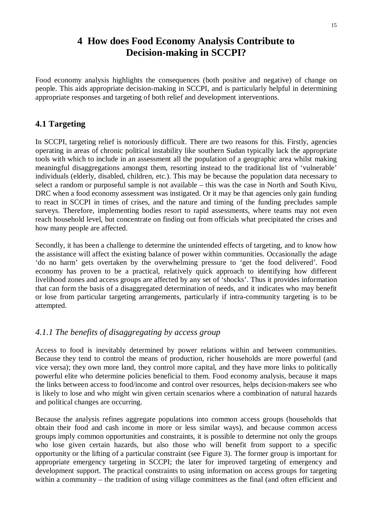## **4 How does Food Economy Analysis Contribute to Decision-making in SCCPI?**

Food economy analysis highlights the consequences (both positive and negative) of change on people. This aids appropriate decision-making in SCCPI, and is particularly helpful in determining appropriate responses and targeting of both relief and development interventions.

### **4.1 Targeting**

In SCCPI, targeting relief is notoriously difficult. There are two reasons for this. Firstly, agencies operating in areas of chronic political instability like southern Sudan typically lack the appropriate tools with which to include in an assessment all the population of a geographic area whilst making meaningful disaggregations amongst them, resorting instead to the traditional list of 'vulnerable' individuals (elderly, disabled, children, etc.). This may be because the population data necessary to select a random or purposeful sample is not available – this was the case in North and South Kivu, DRC when a food economy assessment was instigated. Or it may be that agencies only gain funding to react in SCCPI in times of crises, and the nature and timing of the funding precludes sample surveys. Therefore, implementing bodies resort to rapid assessments, where teams may not even reach household level, but concentrate on finding out from officials what precipitated the crises and how many people are affected.

Secondly, it has been a challenge to determine the unintended effects of targeting, and to know how the assistance will affect the existing balance of power within communities. Occasionally the adage 'do no harm' gets overtaken by the overwhelming pressure to 'get the food delivered'. Food economy has proven to be a practical, relatively quick approach to identifying how different livelihood zones and access groups are affected by any set of 'shocks'. Thus it provides information that can form the basis of a disaggregated determination of needs, and it indicates who may benefit or lose from particular targeting arrangements, particularly if intra-community targeting is to be attempted.

### *4.1.1 The benefits of disaggregating by access group*

Access to food is inevitably determined by power relations within and between communities. Because they tend to control the means of production, richer households are more powerful (and vice versa); they own more land, they control more capital, and they have more links to politically powerful elite who determine policies beneficial to them. Food economy analysis, because it maps the links between access to food/income and control over resources, helps decision-makers see who is likely to lose and who might win given certain scenarios where a combination of natural hazards and political changes are occurring.

Because the analysis refines aggregate populations into common access groups (households that obtain their food and cash income in more or less similar ways), and because common access groups imply common opportunities and constraints, it is possible to determine not only the groups who lose given certain hazards, but also those who will benefit from support to a specific opportunity or the lifting of a particular constraint (see Figure 3). The former group is important for appropriate emergency targeting in SCCPI; the later for improved targeting of emergency and development support. The practical constraints to using information on access groups for targeting within a community – the tradition of using village committees as the final (and often efficient and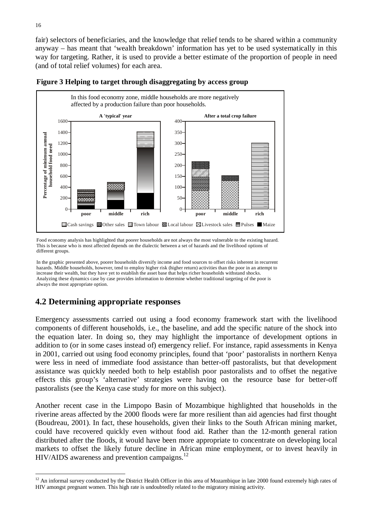fair) selectors of beneficiaries, and the knowledge that relief tends to be shared within a community anyway – has meant that 'wealth breakdown' information has yet to be used systematically in this way for targeting. Rather, it is used to provide a better estimate of the proportion of people in need (and of total relief volumes) for each area.



#### **Figure 3 Helping to target through disaggregating by access group**

Food economy analysis has highlighted that poorer households are not always the most vulnerable to the existing hazard. This is because who is most affected depends on the dialectic between a set of hazards and the livelihood options of different groups.

In the graphic presented above, poorer households diversify income and food sources to offset risks inherent in recurrent hazards. Middle households, however, tend to employ higher risk (higher return) activities than the poor in an attempt to increase their wealth, but they have yet to establish the asset base that helps richer households withstand shocks. Analyzing these dynamics case by case provides information to determine whether traditional targeting of the poor is always the most appropriate option.

### **4.2 Determining appropriate responses**

Emergency assessments carried out using a food economy framework start with the livelihood components of different households, i.e., the baseline, and add the specific nature of the shock into the equation later. In doing so, they may highlight the importance of development options in addition to (or in some cases instead of) emergency relief. For instance, rapid assessments in Kenya in 2001, carried out using food economy principles, found that 'poor' pastoralists in northern Kenya were less in need of immediate food assistance than better-off pastoralists, but that development assistance was quickly needed both to help establish poor pastoralists and to offset the negative effects this group's 'alternative' strategies were having on the resource base for better-off pastoralists (see the Kenya case study for more on this subject).

Another recent case in the Limpopo Basin of Mozambique highlighted that households in the riverine areas affected by the 2000 floods were far more resilient than aid agencies had first thought (Boudreau, 2001). In fact, these households, given their links to the South African mining market, could have recovered quickly even without food aid. Rather than the 12-month general ration distributed after the floods, it would have been more appropriate to concentrate on developing local markets to offset the likely future decline in African mine employment, or to invest heavily in  $HIV/ALDS$  awareness and prevention campaigns.<sup>12</sup>

 $\overline{a}$ 

 $12$  An informal survey conducted by the District Health Officer in this area of Mozambique in late 2000 found extremely high rates of HIV amongst pregnant women. This high rate is undoubtedly related to the migratory mining activity.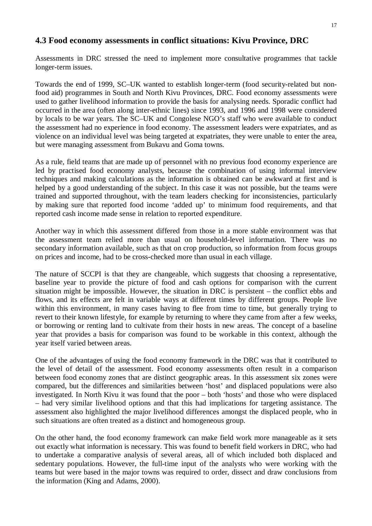#### 17

#### **4.3 Food economy assessments in conflict situations: Kivu Province, DRC**

Assessments in DRC stressed the need to implement more consultative programmes that tackle longer-term issues.

Towards the end of 1999, SC–UK wanted to establish longer-term (food security-related but nonfood aid) programmes in South and North Kivu Provinces, DRC. Food economy assessments were used to gather livelihood information to provide the basis for analysing needs. Sporadic conflict had occurred in the area (often along inter-ethnic lines) since 1993, and 1996 and 1998 were considered by locals to be war years. The SC–UK and Congolese NGO's staff who were available to conduct the assessment had no experience in food economy. The assessment leaders were expatriates, and as violence on an individual level was being targeted at expatriates, they were unable to enter the area, but were managing assessment from Bukavu and Goma towns.

As a rule, field teams that are made up of personnel with no previous food economy experience are led by practised food economy analysts, because the combination of using informal interview techniques and making calculations as the information is obtained can be awkward at first and is helped by a good understanding of the subject. In this case it was not possible, but the teams were trained and supported throughout, with the team leaders checking for inconsistencies, particularly by making sure that reported food income 'added up' to minimum food requirements, and that reported cash income made sense in relation to reported expenditure.

Another way in which this assessment differed from those in a more stable environment was that the assessment team relied more than usual on household-level information. There was no secondary information available, such as that on crop production, so information from focus groups on prices and income, had to be cross-checked more than usual in each village.

The nature of SCCPI is that they are changeable, which suggests that choosing a representative, baseline year to provide the picture of food and cash options for comparison with the current situation might be impossible. However, the situation in DRC is persistent – the conflict ebbs and flows, and its effects are felt in variable ways at different times by different groups. People live within this environment, in many cases having to flee from time to time, but generally trying to revert to their known lifestyle, for example by returning to where they came from after a few weeks, or borrowing or renting land to cultivate from their hosts in new areas. The concept of a baseline year that provides a basis for comparison was found to be workable in this context, although the year itself varied between areas.

One of the advantages of using the food economy framework in the DRC was that it contributed to the level of detail of the assessment. Food economy assessments often result in a comparison between food economy zones that are distinct geographic areas. In this assessment six zones were compared, but the differences and similarities between 'host' and displaced populations were also investigated. In North Kivu it was found that the poor – both 'hosts' and those who were displaced – had very similar livelihood options and that this had implications for targeting assistance. The assessment also highlighted the major livelihood differences amongst the displaced people, who in such situations are often treated as a distinct and homogeneous group.

On the other hand, the food economy framework can make field work more manageable as it sets out exactly what information is necessary. This was found to benefit field workers in DRC, who had to undertake a comparative analysis of several areas, all of which included both displaced and sedentary populations. However, the full-time input of the analysts who were working with the teams but were based in the major towns was required to order, dissect and draw conclusions from the information (King and Adams, 2000).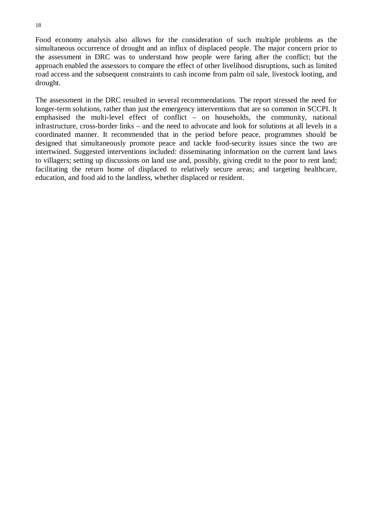Food economy analysis also allows for the consideration of such multiple problems as the simultaneous occurrence of drought and an influx of displaced people. The major concern prior to the assessment in DRC was to understand how people were faring after the conflict; but the approach enabled the assessors to compare the effect of other livelihood disruptions, such as limited road access and the subsequent constraints to cash income from palm oil sale, livestock looting, and drought.

The assessment in the DRC resulted in several recommendations. The report stressed the need for longer-term solutions, rather than just the emergency interventions that are so common in SCCPI. It emphasised the multi-level effect of conflict – on households, the community, national infrastructure, cross-border links – and the need to advocate and look for solutions at all levels in a coordinated manner. It recommended that in the period before peace, programmes should be designed that simultaneously promote peace and tackle food-security issues since the two are intertwined. Suggested interventions included: disseminating information on the current land laws to villagers; setting up discussions on land use and, possibly, giving credit to the poor to rent land; facilitating the return home of displaced to relatively secure areas; and targeting healthcare, education, and food aid to the landless, whether displaced or resident.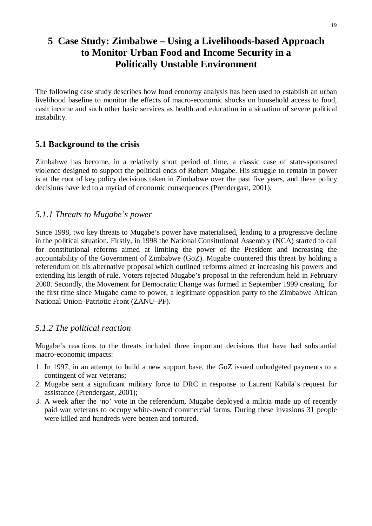## **5 Case Study: Zimbabwe – Using a Livelihoods-based Approach to Monitor Urban Food and Income Security in a Politically Unstable Environment**

The following case study describes how food economy analysis has been used to establish an urban livelihood baseline to monitor the effects of macro-economic shocks on household access to food, cash income and such other basic services as health and education in a situation of severe political instability.

### **5.1 Background to the crisis**

Zimbabwe has become, in a relatively short period of time, a classic case of state-sponsored violence designed to support the political ends of Robert Mugabe. His struggle to remain in power is at the root of key policy decisions taken in Zimbabwe over the past five years, and these policy decisions have led to a myriad of economic consequences (Prendergast, 2001).

#### *5.1.1 Threats to Mugabe's power*

Since 1998, two key threats to Mugabe's power have materialised, leading to a progressive decline in the political situation. Firstly, in 1998 the National Consitutional Assembly (NCA) started to call for constitutional reforms aimed at limiting the power of the President and increasing the accountability of the Government of Zimbabwe (GoZ). Mugabe countered this threat by holding a referendum on his alternative proposal which outlined reforms aimed at increasing his powers and extending his length of rule. Voters rejected Mugabe's proposal in the referendum held in February 2000. Secondly, the Movement for Democratic Change was formed in September 1999 creating, for the first time since Mugabe came to power, a legitimate opposition party to the Zimbabwe African National Union–Patriotic Front (ZANU–PF).

### *5.1.2 The political reaction*

Mugabe's reactions to the threats included three important decisions that have had substantial macro-economic impacts:

- 1. In 1997, in an attempt to build a new support base, the GoZ issued unbudgeted payments to a contingent of war veterans;
- 2. Mugabe sent a significant military force to DRC in response to Laurent Kabila's request for assistance (Prendergast, 2001);
- 3. A week after the 'no' vote in the referendum, Mugabe deployed a militia made up of recently paid war veterans to occupy white-owned commercial farms. During these invasions 31 people were killed and hundreds were beaten and tortured.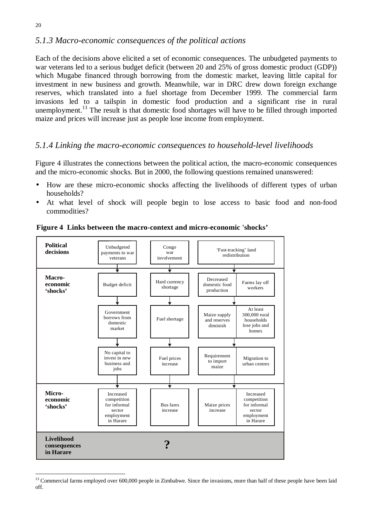### *5.1.3 Macro-economic consequences of the political actions*

Each of the decisions above elicited a set of economic consequences. The unbudgeted payments to war veterans led to a serious budget deficit (between 20 and 25% of gross domestic product (GDP)) which Mugabe financed through borrowing from the domestic market, leaving little capital for investment in new business and growth. Meanwhile, war in DRC drew down foreign exchange reserves, which translated into a fuel shortage from December 1999. The commercial farm invasions led to a tailspin in domestic food production and a significant rise in rural unemployment.<sup>13</sup> The result is that domestic food shortages will have to be filled through imported maize and prices will increase just as people lose income from employment.

### *5.1.4 Linking the macro-economic consequences to household-level livelihoods*

Figure 4 illustrates the connections between the political action, the macro-economic consequences and the micro-economic shocks. But in 2000, the following questions remained unanswered:

- How are these micro-economic shocks affecting the livelihoods of different types of urban households?
- At what level of shock will people begin to lose access to basic food and non-food commodities?



**Figure 4 Links between the macro-context and micro-economic 'shocks'**

 $\overline{a}$ 

<sup>&</sup>lt;sup>13</sup> Commercial farms employed over 600,000 people in Zimbabwe. Since the invasions, more than half of these people have been laid off.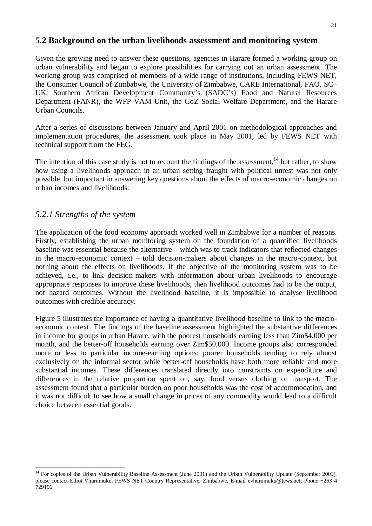#### **5.2 Background on the urban livelihoods assessment and monitoring system**

Given the growing need to answer these questions, agencies in Harare formed a working group on urban vulnerability and began to explore possibilities for carrying out an urban assessment. The working group was comprised of members of a wide range of institutions, including FEWS NET, the Consumer Council of Zimbabwe, the University of Zimbabwe, CARE International, FAO, SC– UK, Southern African Development Community's (SADC's) Food and Natural Resources Department (FANR), the WFP VAM Unit, the GoZ Social Welfare Department, and the Harare Urban Councils.

After a series of discussions between January and April 2001 on methodological approaches and implementation procedures, the assessment took place in May 2001, led by FEWS NET with technical support from the FEG.

The intention of this case study is not to recount the findings of the assessment, $14$  but rather, to show how using a livelihoods approach in an urban setting fraught with political unrest was not only possible, but important in answering key questions about the effects of macro-economic changes on urban incomes and livelihoods.

#### *5.2.1 Strengths of the system*

 $\overline{a}$ 

The application of the food economy approach worked well in Zimbabwe for a number of reasons. Firstly, establishing the urban monitoring system on the foundation of a quantified livelihoods baseline was essential because the alternative – which was to track indicators that reflected changes in the macro-economic context – told decision-makers about changes in the macro-context, but nothing about the effects on livelihoods. If the objective of the monitoring system was to be achieved, i.e., to link decision-makers with information about urban livelihoods to encourage appropriate responses to improve these livelihoods, then livelihood outcomes had to be the output, not hazard outcomes. Without the livelihood baseline, it is impossible to analyse livelihood outcomes with credible accuracy.

Figure 5 illustrates the importance of having a quantitative livelihood baseline to link to the macroeconomic context. The findings of the baseline assessment highlighted the substantive differences in income for groups in urban Harare, with the poorest households earning less than Zim\$4,000 per month, and the better-off households earning over Zim\$50,000. Income groups also corresponded more or less to particular income-earning options; poorer households tending to rely almost exclusively on the informal sector while better-off households have both more reliable and more substantial incomes. These differences translated directly into constraints on expenditure and differences in the relative proportion spent on, say, food versus clothing or transport. The assessment found that a particular burden on poor households was the cost of accommodation, and it was not difficult to see how a small change in prices of any commodity would lead to a difficult choice between essential goods.

<sup>&</sup>lt;sup>14</sup> For copies of the Urban Vulnerability Baseline Assessment (June 2001) and the Urban Vulnerability Update (September 2001), please contact Elliot Vhurumuku, FEWS NET Country Representative, Zimbabwe, E-mail evhurumuku@fews.net; Phone +263 4 729196.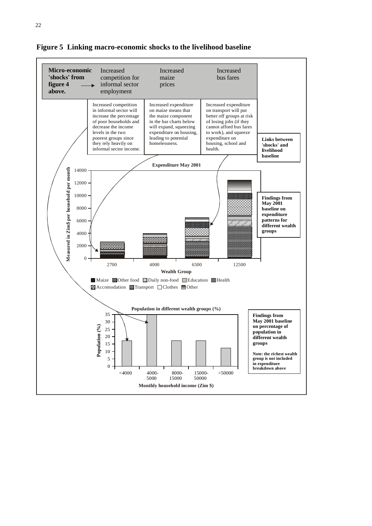

**Figure 5 Linking macro-economic shocks to the livelihood baseline**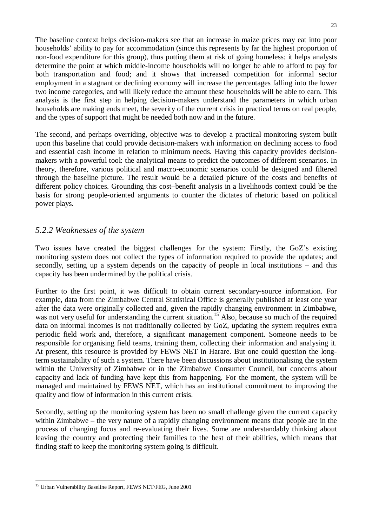The baseline context helps decision-makers see that an increase in maize prices may eat into poor households' ability to pay for accommodation (since this represents by far the highest proportion of non-food expenditure for this group), thus putting them at risk of going homeless; it helps analysts determine the point at which middle-income households will no longer be able to afford to pay for both transportation and food; and it shows that increased competition for informal sector employment in a stagnant or declining economy will increase the percentages falling into the lower two income categories, and will likely reduce the amount these households will be able to earn. This analysis is the first step in helping decision-makers understand the parameters in which urban households are making ends meet, the severity of the current crisis in practical terms on real people, and the types of support that might be needed both now and in the future.

The second, and perhaps overriding, objective was to develop a practical monitoring system built upon this baseline that could provide decision-makers with information on declining access to food and essential cash income in relation to minimum needs. Having this capacity provides decisionmakers with a powerful tool: the analytical means to predict the outcomes of different scenarios. In theory, therefore, various political and macro-economic scenarios could be designed and filtered through the baseline picture. The result would be a detailed picture of the costs and benefits of different policy choices. Grounding this cost–benefit analysis in a livelihoods context could be the basis for strong people-oriented arguments to counter the dictates of rhetoric based on political power plays.

### *5.2.2 Weaknesses of the system*

Two issues have created the biggest challenges for the system: Firstly, the GoZ's existing monitoring system does not collect the types of information required to provide the updates; and secondly, setting up a system depends on the capacity of people in local institutions – and this capacity has been undermined by the political crisis.

Further to the first point, it was difficult to obtain current secondary-source information. For example, data from the Zimbabwe Central Statistical Office is generally published at least one year after the data were originally collected and, given the rapidly changing environment in Zimbabwe, was not very useful for understanding the current situation.<sup>15</sup> Also, because so much of the required data on informal incomes is not traditionally collected by GoZ, updating the system requires extra periodic field work and, therefore, a significant management component. Someone needs to be responsible for organising field teams, training them, collecting their information and analysing it. At present, this resource is provided by FEWS NET in Harare. But one could question the longterm sustainability of such a system. There have been discussions about institutionalising the system within the University of Zimbabwe or in the Zimbabwe Consumer Council, but concerns about capacity and lack of funding have kept this from happening. For the moment, the system will be managed and maintained by FEWS NET, which has an institutional commitment to improving the quality and flow of information in this current crisis.

Secondly, setting up the monitoring system has been no small challenge given the current capacity within Zimbabwe – the very nature of a rapidly changing environment means that people are in the process of changing focus and re-evaluating their lives. Some are understandably thinking about leaving the country and protecting their families to the best of their abilities, which means that finding staff to keep the monitoring system going is difficult.

 $\overline{a}$ <sup>15</sup> Urban Vulnerability Baseline Report, FEWS NET/FEG, June 2001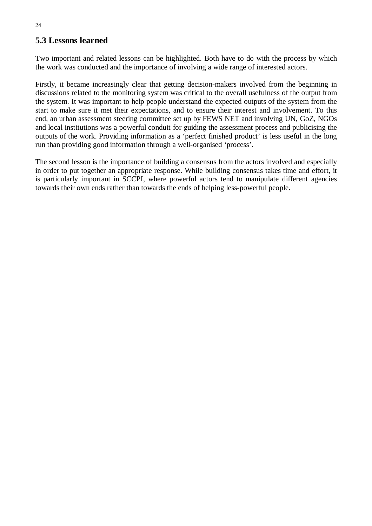## **5.3 Lessons learned**

Two important and related lessons can be highlighted. Both have to do with the process by which the work was conducted and the importance of involving a wide range of interested actors.

Firstly, it became increasingly clear that getting decision-makers involved from the beginning in discussions related to the monitoring system was critical to the overall usefulness of the output from the system. It was important to help people understand the expected outputs of the system from the start to make sure it met their expectations, and to ensure their interest and involvement. To this end, an urban assessment steering committee set up by FEWS NET and involving UN, GoZ, NGOs and local institutions was a powerful conduit for guiding the assessment process and publicising the outputs of the work. Providing information as a 'perfect finished product' is less useful in the long run than providing good information through a well-organised 'process'.

The second lesson is the importance of building a consensus from the actors involved and especially in order to put together an appropriate response. While building consensus takes time and effort, it is particularly important in SCCPI, where powerful actors tend to manipulate different agencies towards their own ends rather than towards the ends of helping less-powerful people.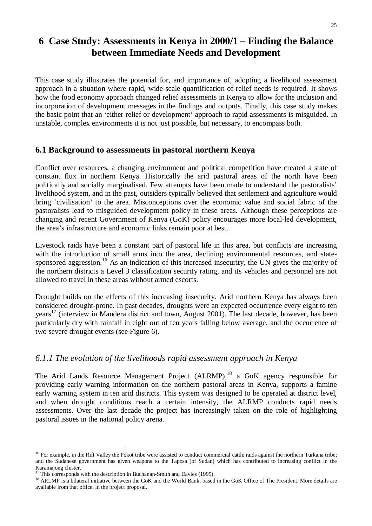## **6 Case Study: Assessments in Kenya in 2000/1 – Finding the Balance between Immediate Needs and Development**

This case study illustrates the potential for, and importance of, adopting a livelihood assessment approach in a situation where rapid, wide-scale quantification of relief needs is required. It shows how the food economy approach changed relief assessments in Kenya to allow for the inclusion and incorporation of development messages in the findings and outputs. Finally, this case study makes the basic point that an 'either relief or development' approach to rapid assessments is misguided. In unstable, complex environments it is not just possible, but necessary, to encompass both.

### **6.1 Background to assessments in pastoral northern Kenya**

Conflict over resources, a changing environment and political competition have created a state of constant flux in northern Kenya. Historically the arid pastoral areas of the north have been politically and socially marginalised. Few attempts have been made to understand the pastoralists' livelihood system, and in the past, outsiders typically believed that settlement and agriculture would bring 'civilisation' to the area. Misconceptions over the economic value and social fabric of the pastoralists lead to misguided development policy in these areas. Although these perceptions are changing and recent Government of Kenya (GoK) policy encourages more local-led development, the area's infrastructure and economic links remain poor at best.

Livestock raids have been a constant part of pastoral life in this area, but conflicts are increasing with the introduction of small arms into the area, declining environmental resources, and statesponsored aggression.<sup>16</sup> As an indication of this increased insecurity, the UN gives the majority of the northern districts a Level 3 classification security rating, and its vehicles and personnel are not allowed to travel in these areas without armed escorts.

Drought builds on the effects of this increasing insecurity. Arid northern Kenya has always been considered drought-prone. In past decades, droughts were an expected occurrence every eight to ten years<sup>17</sup> (interview in Mandera district and town, August 2001). The last decade, however, has been particularly dry with rainfall in eight out of ten years falling below average, and the occurrence of two severe drought events (see Figure 6).

### *6.1.1 The evolution of the livelihoods rapid assessment approach in Kenya*

The Arid Lands Resource Management Project (ALRMP),<sup>18</sup> a GoK agency responsible for providing early warning information on the northern pastoral areas in Kenya, supports a famine early warning system in ten arid districts. This system was designed to be operated at district level, and when drought conditions reach a certain intensity, the ALRMP conducts rapid needs assessments. Over the last decade the project has increasingly taken on the role of highlighting pastoral issues in the national policy arena.

 $\overline{a}$ 

<sup>&</sup>lt;sup>16</sup> For example, in the Rift Valley the Pokot tribe were assisted to conduct commercial cattle raids against the northern Turkana tribe; and the Sudanese government has given weapons to the Taposa (of Sudan) which has contributed to increasing conflict in the Karamajong cluster.

This corresponds with the description in Buchanan-Smith and Davies (1995).

<sup>&</sup>lt;sup>18</sup> ARLMP is a bilateral initiative between the GoK and the World Bank, based in the GoK Office of The President. More details are available from that office, in the project proposal.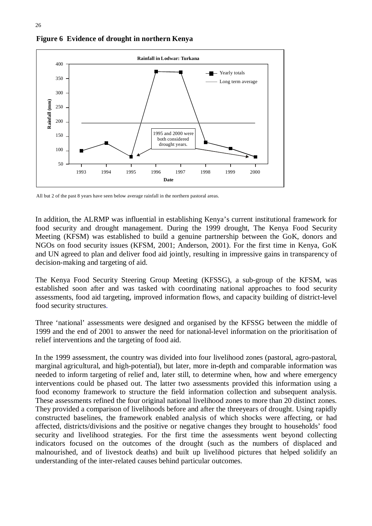

**Figure 6 Evidence of drought in northern Kenya**

All but 2 of the past 8 years have seen below average rainfall in the northern pastoral areas.

In addition, the ALRMP was influential in establishing Kenya's current institutional framework for food security and drought management. During the 1999 drought, The Kenya Food Security Meeting (KFSM) was established to build a genuine partnership between the GoK, donors and NGOs on food security issues (KFSM, 2001; Anderson, 2001). For the first time in Kenya, GoK and UN agreed to plan and deliver food aid jointly, resulting in impressive gains in transparency of decision-making and targeting of aid.

The Kenya Food Security Steering Group Meeting (KFSSG), a sub-group of the KFSM, was established soon after and was tasked with coordinating national approaches to food security assessments, food aid targeting, improved information flows, and capacity building of district-level food security structures.

Three 'national' assessments were designed and organised by the KFSSG between the middle of 1999 and the end of 2001 to answer the need for national-level information on the prioritisation of relief interventions and the targeting of food aid.

In the 1999 assessment, the country was divided into four livelihood zones (pastoral, agro-pastoral, marginal agricultural, and high-potential), but later, more in-depth and comparable information was needed to inform targeting of relief and, later still, to determine when, how and where emergency interventions could be phased out. The latter two assessments provided this information using a food economy framework to structure the field information collection and subsequent analysis. These assessments refined the four original national livelihood zones to more than 20 distinct zones. They provided a comparison of livelihoods before and after the threeyears of drought. Using rapidly constructed baselines, the framework enabled analysis of which shocks were affecting, or had affected, districts/divisions and the positive or negative changes they brought to households' food security and livelihood strategies. For the first time the assessments went beyond collecting indicators focused on the outcomes of the drought (such as the numbers of displaced and malnourished, and of livestock deaths) and built up livelihood pictures that helped solidify an understanding of the inter-related causes behind particular outcomes.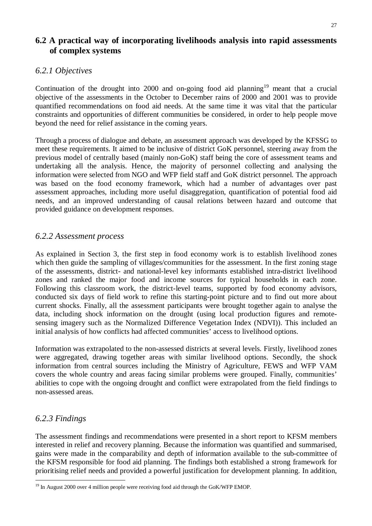### **6.2 A practical way of incorporating livelihoods analysis into rapid assessments of complex systems**

## *6.2.1 Objectives*

Continuation of the drought into 2000 and on-going food aid planning<sup>19</sup> meant that a crucial objective of the assessments in the October to December rains of 2000 and 2001 was to provide quantified recommendations on food aid needs. At the same time it was vital that the particular constraints and opportunities of different communities be considered, in order to help people move beyond the need for relief assistance in the coming years.

Through a process of dialogue and debate, an assessment approach was developed by the KFSSG to meet these requirements. It aimed to be inclusive of district GoK personnel, steering away from the previous model of centrally based (mainly non-GoK) staff being the core of assessment teams and undertaking all the analysis. Hence, the majority of personnel collecting and analysing the information were selected from NGO and WFP field staff and GoK district personnel. The approach was based on the food economy framework, which had a number of advantages over past assessment approaches, including more useful disaggregation, quantification of potential food aid needs, and an improved understanding of causal relations between hazard and outcome that provided guidance on development responses.

### *6.2.2 Assessment process*

As explained in Section 3, the first step in food economy work is to establish livelihood zones which then guide the sampling of villages/communities for the assessment. In the first zoning stage of the assessments, district- and national-level key informants established intra-district livelihood zones and ranked the major food and income sources for typical households in each zone. Following this classroom work, the district-level teams, supported by food economy advisors, conducted six days of field work to refine this starting-point picture and to find out more about current shocks. Finally, all the assessment participants were brought together again to analyse the data, including shock information on the drought (using local production figures and remotesensing imagery such as the Normalized Difference Vegetation Index (NDVI)). This included an initial analysis of how conflicts had affected communities' access to livelihood options.

Information was extrapolated to the non-assessed districts at several levels. Firstly, livelihood zones were aggregated, drawing together areas with similar livelihood options. Secondly, the shock information from central sources including the Ministry of Agriculture, FEWS and WFP VAM covers the whole country and areas facing similar problems were grouped. Finally, communities' abilities to cope with the ongoing drought and conflict were extrapolated from the field findings to non-assessed areas.

## *6.2.3 Findings*

The assessment findings and recommendations were presented in a short report to KFSM members interested in relief and recovery planning. Because the information was quantified and summarised, gains were made in the comparability and depth of information available to the sub-committee of the KFSM responsible for food aid planning. The findings both established a strong framework for prioritising relief needs and provided a powerful justification for development planning. In addition,

 $\overline{a}$  $19$  In August 2000 over 4 million people were receiving food aid through the GoK/WFP EMOP.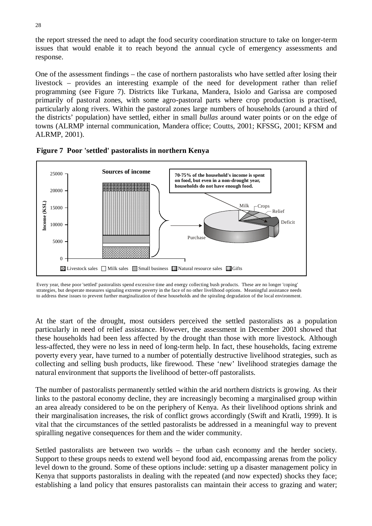the report stressed the need to adapt the food security coordination structure to take on longer-term issues that would enable it to reach beyond the annual cycle of emergency assessments and response.

One of the assessment findings – the case of northern pastoralists who have settled after losing their livestock – provides an interesting example of the need for development rather than relief programming (see Figure 7). Districts like Turkana, Mandera, Isiolo and Garissa are composed primarily of pastoral zones, with some agro-pastoral parts where crop production is practised, particularly along rivers. Within the pastoral zones large numbers of households (around a third of the districts' population) have settled, either in small *bullas* around water points or on the edge of towns (ALRMP internal communication, Mandera office; Coutts, 2001; KFSSG, 2001; KFSM and ALRMP, 2001).





Every year, these poor 'settled' pastoralists spend excessive time and energy collecting bush products. These are no longer 'coping' strategies, but desperate measures signaling extreme poverty in the face of no other livelihood options. Meaningful assistance needs to address these issues to prevent further marginalization of these households and the spiraling degradation of the local environment.

At the start of the drought, most outsiders perceived the settled pastoralists as a population particularly in need of relief assistance. However, the assessment in December 2001 showed that these households had been less affected by the drought than those with more livestock. Although less-affected, they were no less in need of long-term help. In fact, these households, facing extreme poverty every year, have turned to a number of potentially destructive livelihood strategies, such as collecting and selling bush products, like firewood. These 'new' livelihood strategies damage the natural environment that supports the livelihood of better-off pastoralists.

The number of pastoralists permanently settled within the arid northern districts is growing. As their links to the pastoral economy decline, they are increasingly becoming a marginalised group within an area already considered to be on the periphery of Kenya. As their livelihood options shrink and their marginalisation increases, the risk of conflict grows accordingly (Swift and Kratli, 1999). It is vital that the circumstances of the settled pastoralists be addressed in a meaningful way to prevent spiralling negative consequences for them and the wider community.

Settled pastoralists are between two worlds – the urban cash economy and the herder society. Support to these groups needs to extend well beyond food aid, encompassing arenas from the policy level down to the ground. Some of these options include: setting up a disaster management policy in Kenya that supports pastoralists in dealing with the repeated (and now expected) shocks they face; establishing a land policy that ensures pastoralists can maintain their access to grazing and water;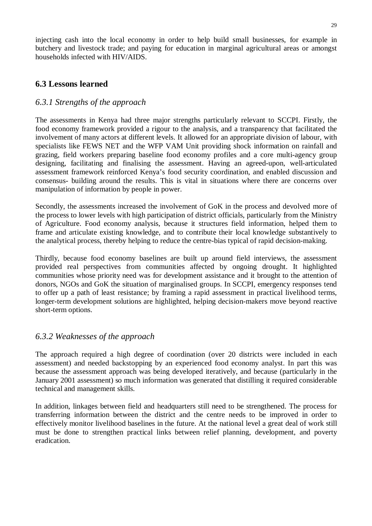injecting cash into the local economy in order to help build small businesses, for example in butchery and livestock trade; and paying for education in marginal agricultural areas or amongst households infected with HIV/AIDS.

### **6.3 Lessons learned**

#### *6.3.1 Strengths of the approach*

The assessments in Kenya had three major strengths particularly relevant to SCCPI. Firstly, the food economy framework provided a rigour to the analysis, and a transparency that facilitated the involvement of many actors at different levels. It allowed for an appropriate division of labour, with specialists like FEWS NET and the WFP VAM Unit providing shock information on rainfall and grazing, field workers preparing baseline food economy profiles and a core multi-agency group designing, facilitating and finalising the assessment. Having an agreed-upon, well-articulated assessment framework reinforced Kenya's food security coordination, and enabled discussion and consensus- building around the results. This is vital in situations where there are concerns over manipulation of information by people in power.

Secondly, the assessments increased the involvement of GoK in the process and devolved more of the process to lower levels with high participation of district officials, particularly from the Ministry of Agriculture. Food economy analysis, because it structures field information, helped them to frame and articulate existing knowledge, and to contribute their local knowledge substantively to the analytical process, thereby helping to reduce the centre-bias typical of rapid decision-making.

Thirdly, because food economy baselines are built up around field interviews, the assessment provided real perspectives from communities affected by ongoing drought. It highlighted communities whose priority need was for development assistance and it brought to the attention of donors, NGOs and GoK the situation of marginalised groups. In SCCPI, emergency responses tend to offer up a path of least resistance; by framing a rapid assessment in practical livelihood terms, longer-term development solutions are highlighted, helping decision-makers move beyond reactive short-term options.

### *6.3.2 Weaknesses of the approach*

The approach required a high degree of coordination (over 20 districts were included in each assessment) and needed backstopping by an experienced food economy analyst. In part this was because the assessment approach was being developed iteratively, and because (particularly in the January 2001 assessment) so much information was generated that distilling it required considerable technical and management skills.

In addition, linkages between field and headquarters still need to be strengthened. The process for transferring information between the district and the centre needs to be improved in order to effectively monitor livelihood baselines in the future. At the national level a great deal of work still must be done to strengthen practical links between relief planning, development, and poverty eradication.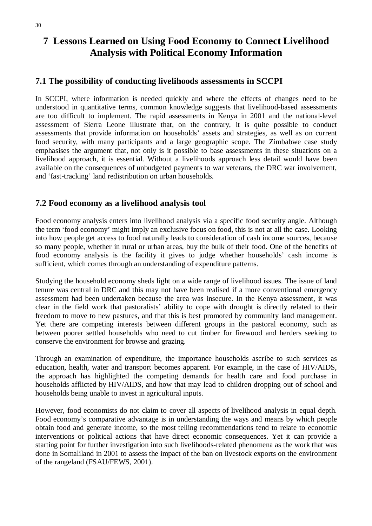## **7 Lessons Learned on Using Food Economy to Connect Livelihood Analysis with Political Economy Information**

#### **7.1 The possibility of conducting livelihoods assessments in SCCPI**

In SCCPI, where information is needed quickly and where the effects of changes need to be understood in quantitative terms, common knowledge suggests that livelihood-based assessments are too difficult to implement. The rapid assessments in Kenya in 2001 and the national-level assessment of Sierra Leone illustrate that, on the contrary, it is quite possible to conduct assessments that provide information on households' assets and strategies, as well as on current food security, with many participants and a large geographic scope. The Zimbabwe case study emphasises the argument that, not only is it possible to base assessments in these situations on a livelihood approach, it is essential. Without a livelihoods approach less detail would have been available on the consequences of unbudgeted payments to war veterans, the DRC war involvement, and 'fast-tracking' land redistribution on urban households.

#### **7.2 Food economy as a livelihood analysis tool**

Food economy analysis enters into livelihood analysis via a specific food security angle. Although the term 'food economy' might imply an exclusive focus on food, this is not at all the case. Looking into how people get access to food naturally leads to consideration of cash income sources, because so many people, whether in rural or urban areas, buy the bulk of their food. One of the benefits of food economy analysis is the facility it gives to judge whether households' cash income is sufficient, which comes through an understanding of expenditure patterns.

Studying the household economy sheds light on a wide range of livelihood issues. The issue of land tenure was central in DRC and this may not have been realised if a more conventional emergency assessment had been undertaken because the area was insecure. In the Kenya assessment, it was clear in the field work that pastoralists' ability to cope with drought is directly related to their freedom to move to new pastures, and that this is best promoted by community land management. Yet there are competing interests between different groups in the pastoral economy, such as between poorer settled households who need to cut timber for firewood and herders seeking to conserve the environment for browse and grazing.

Through an examination of expenditure, the importance households ascribe to such services as education, health, water and transport becomes apparent. For example, in the case of HIV/AIDS, the approach has highlighted the competing demands for health care and food purchase in households afflicted by HIV/AIDS, and how that may lead to children dropping out of school and households being unable to invest in agricultural inputs.

However, food economists do not claim to cover all aspects of livelihood analysis in equal depth. Food economy's comparative advantage is in understanding the ways and means by which people obtain food and generate income, so the most telling recommendations tend to relate to economic interventions or political actions that have direct economic consequences. Yet it can provide a starting point for further investigation into such livelihoods-related phenomena as the work that was done in Somaliland in 2001 to assess the impact of the ban on livestock exports on the environment of the rangeland (FSAU/FEWS, 2001).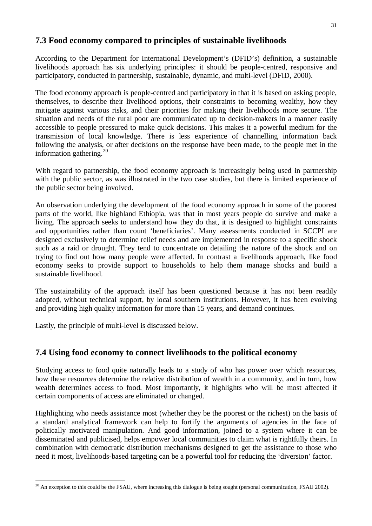### **7.3 Food economy compared to principles of sustainable livelihoods**

According to the Department for International Development's (DFID's) definition, a sustainable livelihoods approach has six underlying principles: it should be people-centred, responsive and participatory, conducted in partnership, sustainable, dynamic, and multi-level (DFID, 2000).

The food economy approach is people-centred and participatory in that it is based on asking people, themselves, to describe their livelihood options, their constraints to becoming wealthy, how they mitigate against various risks, and their priorities for making their livelihoods more secure. The situation and needs of the rural poor are communicated up to decision-makers in a manner easily accessible to people pressured to make quick decisions. This makes it a powerful medium for the transmission of local knowledge. There is less experience of channelling information back following the analysis, or after decisions on the response have been made, to the people met in the information gathering.<sup>20</sup>

With regard to partnership, the food economy approach is increasingly being used in partnership with the public sector, as was illustrated in the two case studies, but there is limited experience of the public sector being involved.

An observation underlying the development of the food economy approach in some of the poorest parts of the world, like highland Ethiopia, was that in most years people do survive and make a living. The approach seeks to understand how they do that, it is designed to highlight constraints and opportunities rather than count 'beneficiaries'. Many assessments conducted in SCCPI are designed exclusively to determine relief needs and are implemented in response to a specific shock such as a raid or drought. They tend to concentrate on detailing the nature of the shock and on trying to find out how many people were affected. In contrast a livelihoods approach, like food economy seeks to provide support to households to help them manage shocks and build a sustainable livelihood.

The sustainability of the approach itself has been questioned because it has not been readily adopted, without technical support, by local southern institutions. However, it has been evolving and providing high quality information for more than 15 years, and demand continues.

Lastly, the principle of multi-level is discussed below.

 $\overline{a}$ 

#### **7.4 Using food economy to connect livelihoods to the political economy**

Studying access to food quite naturally leads to a study of who has power over which resources, how these resources determine the relative distribution of wealth in a community, and in turn, how wealth determines access to food. Most importantly, it highlights who will be most affected if certain components of access are eliminated or changed.

Highlighting who needs assistance most (whether they be the poorest or the richest) on the basis of a standard analytical framework can help to fortify the arguments of agencies in the face of politically motivated manipulation. And good information, joined to a system where it can be disseminated and publicised, helps empower local communities to claim what is rightfully theirs. In combination with democratic distribution mechanisms designed to get the assistance to those who need it most, livelihoods-based targeting can be a powerful tool for reducing the 'diversion' factor.

 $20$  An exception to this could be the FSAU, where increasing this dialogue is being sought (personal communication, FSAU 2002).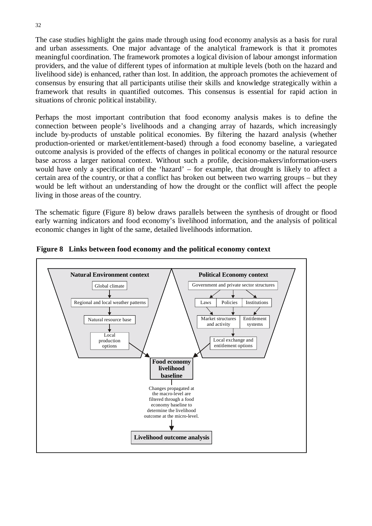The case studies highlight the gains made through using food economy analysis as a basis for rural and urban assessments. One major advantage of the analytical framework is that it promotes meaningful coordination. The framework promotes a logical division of labour amongst information providers, and the value of different types of information at multiple levels (both on the hazard and livelihood side) is enhanced, rather than lost. In addition, the approach promotes the achievement of consensus by ensuring that all participants utilise their skills and knowledge strategically within a framework that results in quantified outcomes. This consensus is essential for rapid action in situations of chronic political instability.

Perhaps the most important contribution that food economy analysis makes is to define the connection between people's livelihoods and a changing array of hazards, which increasingly include by-products of unstable political economies. By filtering the hazard analysis (whether production-oriented or market/entitlement-based) through a food economy baseline, a variegated outcome analysis is provided of the effects of changes in political economy or the natural resource base across a larger national context. Without such a profile, decision-makers/information-users would have only a specification of the 'hazard' – for example, that drought is likely to affect a certain area of the country, or that a conflict has broken out between two warring groups – but they would be left without an understanding of how the drought or the conflict will affect the people living in those areas of the country.

The schematic figure (Figure 8) below draws parallels between the synthesis of drought or flood early warning indicators and food economy's livelihood information, and the analysis of political economic changes in light of the same, detailed livelihoods information.



**Figure 8 Links between food economy and the political economy context**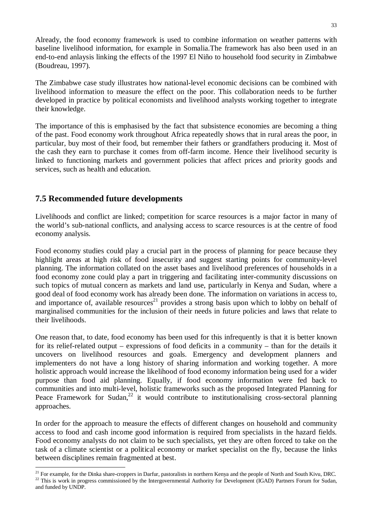Already, the food economy framework is used to combine information on weather patterns with baseline livelihood information, for example in Somalia.The framework has also been used in an end-to-end anlaysis linking the effects of the 1997 El Niño to household food security in Zimbabwe (Boudreau, 1997).

The Zimbabwe case study illustrates how national-level economic decisions can be combined with livelihood information to measure the effect on the poor. This collaboration needs to be further developed in practice by political economists and livelihood analysts working together to integrate their knowledge.

The importance of this is emphasised by the fact that subsistence economies are becoming a thing of the past. Food economy work throughout Africa repeatedly shows that in rural areas the poor, in particular, buy most of their food, but remember their fathers or grandfathers producing it. Most of the cash they earn to purchase it comes from off-farm income. Hence their livelihood security is linked to functioning markets and government policies that affect prices and priority goods and services, such as health and education.

## **7.5 Recommended future developments**

 $\overline{a}$ 

Livelihoods and conflict are linked; competition for scarce resources is a major factor in many of the world's sub-national conflicts, and analysing access to scarce resources is at the centre of food economy analysis.

Food economy studies could play a crucial part in the process of planning for peace because they highlight areas at high risk of food insecurity and suggest starting points for community-level planning. The information collated on the asset bases and livelihood preferences of households in a food economy zone could play a part in triggering and facilitating inter-community discussions on such topics of mutual concern as markets and land use, particularly in Kenya and Sudan, where a good deal of food economy work has already been done. The information on variations in access to, and importance of, available resources<sup>21</sup> provides a strong basis upon which to lobby on behalf of marginalised communities for the inclusion of their needs in future policies and laws that relate to their livelihoods.

One reason that, to date, food economy has been used for this infrequently is that it is better known for its relief-related output – expressions of food deficits in a community – than for the details it uncovers on livelihood resources and goals. Emergency and development planners and implementers do not have a long history of sharing information and working together. A more holistic approach would increase the likelihood of food economy information being used for a wider purpose than food aid planning. Equally, if food economy information were fed back to communities and into multi-level, holistic frameworks such as the proposed Integrated Planning for Peace Framework for Sudan, $^{22}$  it would contribute to institutionalising cross-sectoral planning approaches.

In order for the approach to measure the effects of different changes on household and community access to food and cash income good information is required from specialists in the hazard fields. Food economy analysts do not claim to be such specialists, yet they are often forced to take on the task of a climate scientist or a political economy or market specialist on the fly, because the links between disciplines remain fragmented at best.

<sup>&</sup>lt;sup>21</sup> For example, for the Dinka share-croppers in Darfur, pastoralists in northern Kenya and the people of North and South Kivu, DRC.<br><sup>22</sup> This is work in progress commissioned by the Intergovernmental Authority for Devel and funded by UNDP.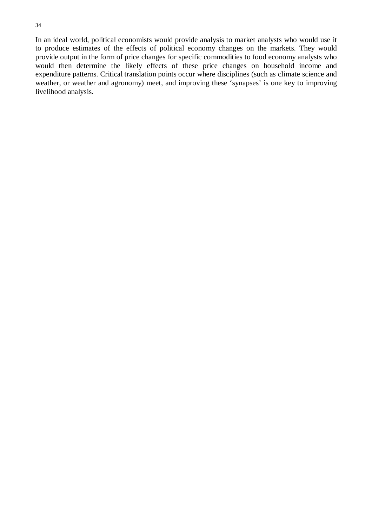In an ideal world, political economists would provide analysis to market analysts who would use it to produce estimates of the effects of political economy changes on the markets. They would provide output in the form of price changes for specific commodities to food economy analysts who would then determine the likely effects of these price changes on household income and expenditure patterns. Critical translation points occur where disciplines (such as climate science and weather, or weather and agronomy) meet, and improving these 'synapses' is one key to improving livelihood analysis.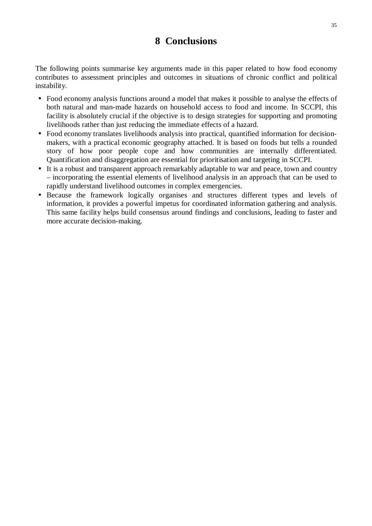## **8 Conclusions**

The following points summarise key arguments made in this paper related to how food economy contributes to assessment principles and outcomes in situations of chronic conflict and political instability.

- Food economy analysis functions around a model that makes it possible to analyse the effects of both natural and man-made hazards on household access to food and income. In SCCPI, this facility is absolutely crucial if the objective is to design strategies for supporting and promoting livelihoods rather than just reducing the immediate effects of a hazard.
- Food economy translates livelihoods analysis into practical, quantified information for decisionmakers, with a practical economic geography attached. It is based on foods but tells a rounded story of how poor people cope and how communities are internally differentiated. Quantification and disaggregation are essential for prioritisation and targeting in SCCPI.
- It is a robust and transparent approach remarkably adaptable to war and peace, town and country – incorporating the essential elements of livelihood analysis in an approach that can be used to rapidly understand livelihood outcomes in complex emergencies.
- Because the framework logically organises and structures different types and levels of information, it provides a powerful impetus for coordinated information gathering and analysis. This same facility helps build consensus around findings and conclusions, leading to faster and more accurate decision-making.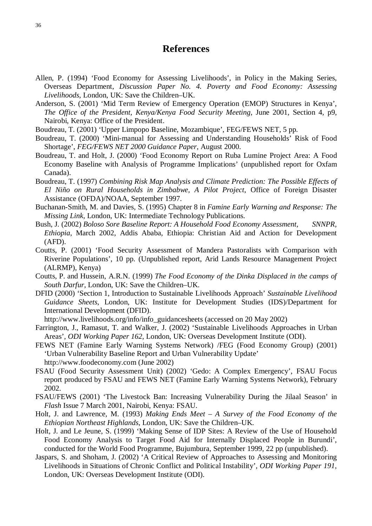### **References**

- Allen, P. (1994) 'Food Economy for Assessing Livelihoods', in Policy in the Making Series, Overseas Department, *Discussion Paper No. 4. Poverty and Food Economy: Assessing Livelihoods*, London, UK: Save the Children–UK.
- Anderson, S. (2001) 'Mid Term Review of Emergency Operation (EMOP) Structures in Kenya', *The Office of the President, Kenya/Kenya Food Security Meeting,* June 2001, Section 4, p9, Nairobi, Kenya: Office of the President.
- Boudreau, T. (2001) 'Upper Limpopo Baseline, Mozambique', FEG/FEWS NET, 5 pp.
- Boudreau, T. (2000) 'Mini-manual for Assessing and Understanding Households' Risk of Food Shortage', *FEG/FEWS NET 2000 Guidance Paper*, August 2000.
- Boudreau, T. and Holt, J. (2000) 'Food Economy Report on Ruba Lumine Project Area: A Food Economy Baseline with Analysis of Programme Implications' (unpublished report for Oxfam Canada).
- Boudreau, T. (1997) *Combining Risk Map Analysis and Climate Prediction: The Possible Effects of El Niño on Rural Households in Zimbabwe, A Pilot Project*, Office of Foreign Disaster Assistance (OFDA)/NOAA, September 1997.
- Buchanan-Smith, M. and Davies, S. (1995) Chapter 8 in *Famine Early Warning and Response: The Missing Link*, London, UK: Intermediate Technology Publications.
- Bush, J. (2002) *Boloso Sore Baseline Report: A Household Food Economy Assessment, SNNPR, Ethiopia*, March 2002, Addis Ababa, Ethiopia: Christian Aid and Action for Development (AFD).
- Coutts, P. (2001) 'Food Security Assessment of Mandera Pastoralists with Comparison with Riverine Populations', 10 pp. (Unpublished report, Arid Lands Resource Management Project (ALRMP), Kenya)
- Coutts, P. and Hussein, A.R.N. (1999) *The Food Economy of the Dinka Displaced in the camps of South Darfur*, London, UK: Save the Children–UK.
- DFID (2000) 'Section 1, Introduction to Sustainable Livelihoods Approach' *Sustainable Livelihood Guidance Sheets*, London, UK: Institute for Development Studies (IDS)/Department for International Development (DFID).

http://www.livelihoods.org/info/info\_guidancesheets (accessed on 20 May 2002)

- Farrington, J., Ramasut, T. and Walker, J. (2002) 'Sustainable Livelihoods Approaches in Urban Areas', *ODI Working Paper 162*, London, UK: Overseas Development Institute (ODI).
- FEWS NET (Famine Early Warning Systems Network) /FEG (Food Economy Group) (2001) 'Urban Vulnerability Baseline Report and Urban Vulnerability Update' http://www.foodeconomy.com (June 2002)
- FSAU (Food Security Assessment Unit) (2002) 'Gedo: A Complex Emergency', FSAU Focus report produced by FSAU and FEWS NET (Famine Early Warning Systems Network), February 2002.
- FSAU/FEWS (2001) 'The Livestock Ban: Increasing Vulnerability During the Jilaal Season' in *Flash* Issue 7 March 2001, Nairobi, Kenya: FSAU.
- Holt, J. and Lawrence, M. (1993) *Making Ends Meet A Survey of the Food Economy of the Ethiopian Northeast Highlands*, London, UK: Save the Children–UK.
- Holt, J. and Le Jeune, S. (1999) 'Making Sense of IDP Sites: A Review of the Use of Household Food Economy Analysis to Target Food Aid for Internally Displaced People in Burundi', conducted for the World Food Programme, Bujumbura, September 1999, 22 pp (unpublished).
- Jaspars, S. and Shoham, J. (2002) 'A Critical Review of Approaches to Assessing and Monitoring Livelihoods in Situations of Chronic Conflict and Political Instability'*, ODI Working Paper 191*, London, UK: Overseas Development Institute (ODI).